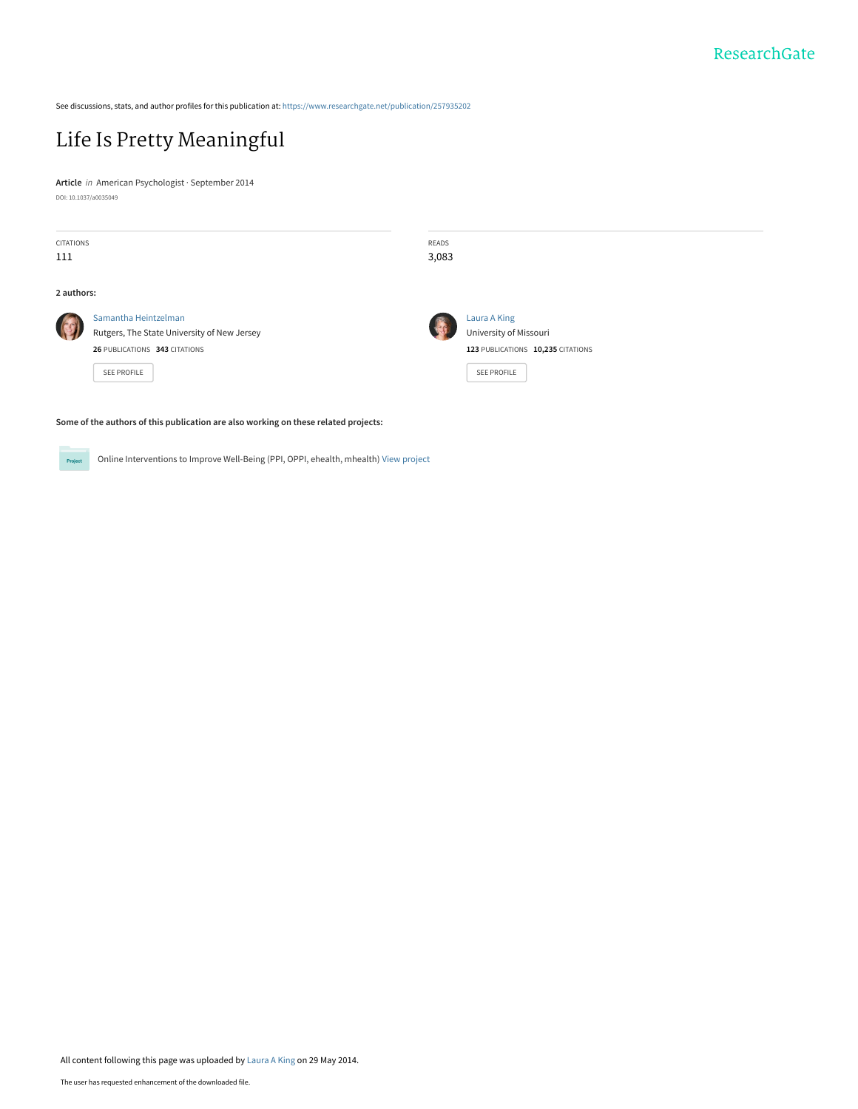See discussions, stats, and author profiles for this publication at: [https://www.researchgate.net/publication/257935202](https://www.researchgate.net/publication/257935202_Life_Is_Pretty_Meaningful?enrichId=rgreq-10e31e9aab45a10922fc99cafbef86e8-XXX&enrichSource=Y292ZXJQYWdlOzI1NzkzNTIwMjtBUzoxMDIyODgxOTAzNDUyMTdAMTQwMTM5ODgxMzMxOA%3D%3D&el=1_x_2&_esc=publicationCoverPdf)

# [Life Is Pretty Meaningful](https://www.researchgate.net/publication/257935202_Life_Is_Pretty_Meaningful?enrichId=rgreq-10e31e9aab45a10922fc99cafbef86e8-XXX&enrichSource=Y292ZXJQYWdlOzI1NzkzNTIwMjtBUzoxMDIyODgxOTAzNDUyMTdAMTQwMTM5ODgxMzMxOA%3D%3D&el=1_x_3&_esc=publicationCoverPdf)

**Article** in American Psychologist · September 2014 DOI: 10.1037/a0035049

| <b>CITATIONS</b><br>111 |                                                                                                                     | READS<br>3,083 |                                                                                                   |
|-------------------------|---------------------------------------------------------------------------------------------------------------------|----------------|---------------------------------------------------------------------------------------------------|
| 2 authors:              |                                                                                                                     |                |                                                                                                   |
|                         | Samantha Heintzelman<br>Rutgers, The State University of New Jersey<br>26 PUBLICATIONS 343 CITATIONS<br>SEE PROFILE |                | Laura A King<br>University of Missouri<br>123 PUBLICATIONS 10,235 CITATIONS<br><b>SEE PROFILE</b> |

**Some of the authors of this publication are also working on these related projects:**

Online Interventions to Improve Well-Being (PPI, OPPI, ehealth, mhealth) [View project](https://www.researchgate.net/project/Online-Interventions-to-Improve-Well-Being-PPI-OPPI-ehealth-mhealth?enrichId=rgreq-10e31e9aab45a10922fc99cafbef86e8-XXX&enrichSource=Y292ZXJQYWdlOzI1NzkzNTIwMjtBUzoxMDIyODgxOTAzNDUyMTdAMTQwMTM5ODgxMzMxOA%3D%3D&el=1_x_9&_esc=publicationCoverPdf) Project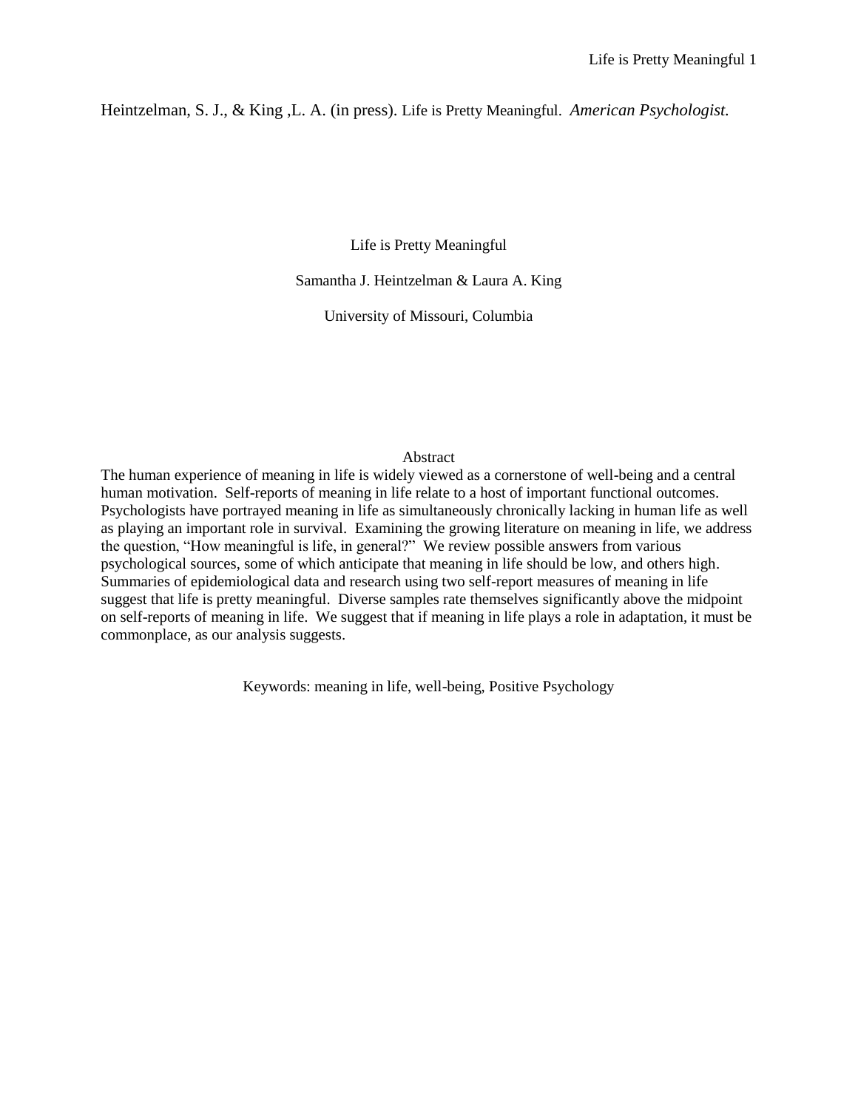Heintzelman, S. J., & King ,L. A. (in press). Life is Pretty Meaningful. *American Psychologist.*

Life is Pretty Meaningful

Samantha J. Heintzelman & Laura A. King

University of Missouri, Columbia

#### Abstract

The human experience of meaning in life is widely viewed as a cornerstone of well-being and a central human motivation. Self-reports of meaning in life relate to a host of important functional outcomes. Psychologists have portrayed meaning in life as simultaneously chronically lacking in human life as well as playing an important role in survival. Examining the growing literature on meaning in life, we address the question, "How meaningful is life, in general?" We review possible answers from various psychological sources, some of which anticipate that meaning in life should be low, and others high. Summaries of epidemiological data and research using two self-report measures of meaning in life suggest that life is pretty meaningful. Diverse samples rate themselves significantly above the midpoint on self-reports of meaning in life. We suggest that if meaning in life plays a role in adaptation, it must be commonplace, as our analysis suggests.

Keywords: meaning in life, well-being, Positive Psychology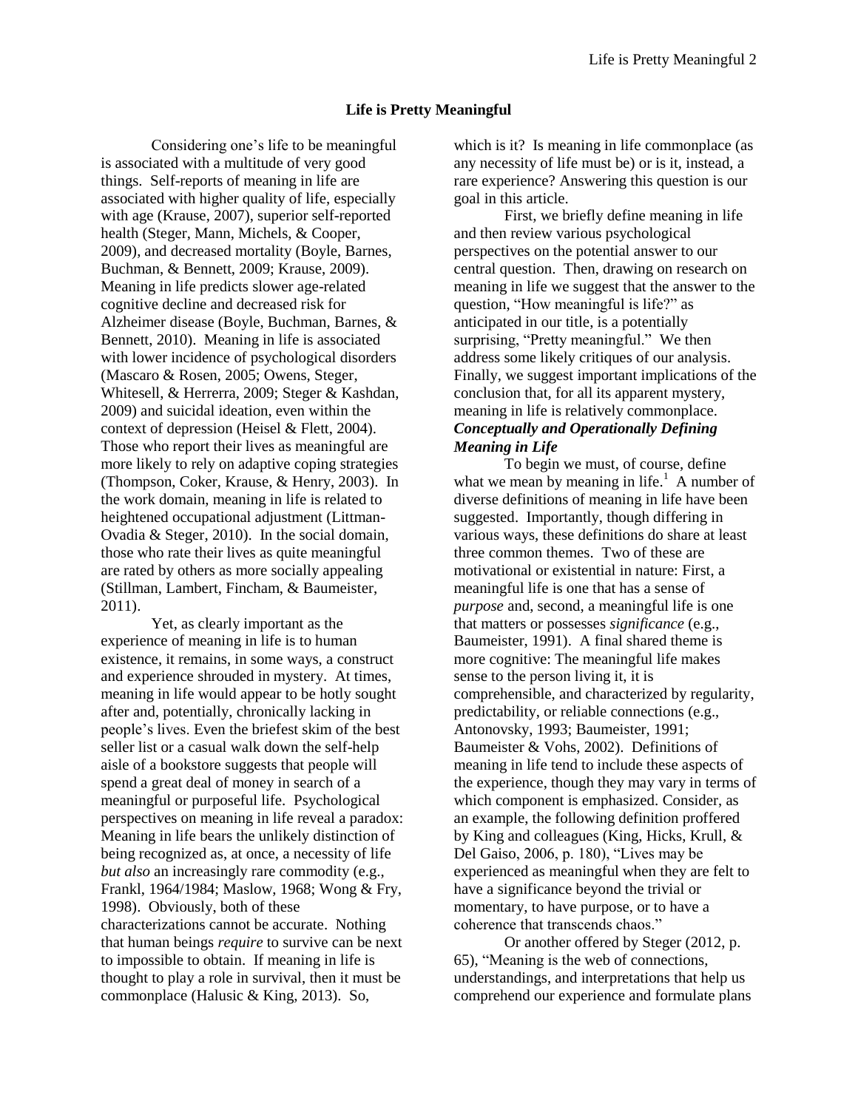## **Life is Pretty Meaningful**

Considering one's life to be meaningful is associated with a multitude of very good things. Self-reports of meaning in life are associated with higher quality of life, especially with age (Krause, 2007), superior self-reported health (Steger, Mann, Michels, & Cooper, 2009), and decreased mortality (Boyle, Barnes, Buchman, & Bennett, 2009; Krause, 2009). Meaning in life predicts slower age-related cognitive decline and decreased risk for Alzheimer disease (Boyle, Buchman, Barnes, & Bennett, 2010). Meaning in life is associated with lower incidence of psychological disorders (Mascaro & Rosen, 2005; Owens, Steger, Whitesell, & Herrerra, 2009; Steger & Kashdan, 2009) and suicidal ideation, even within the context of depression (Heisel & Flett, 2004). Those who report their lives as meaningful are more likely to rely on adaptive coping strategies (Thompson, Coker, Krause, & Henry, 2003). In the work domain, meaning in life is related to heightened occupational adjustment (Littman-Ovadia & Steger, 2010). In the social domain, those who rate their lives as quite meaningful are rated by others as more socially appealing (Stillman, Lambert, Fincham, & Baumeister, 2011).

Yet, as clearly important as the experience of meaning in life is to human existence, it remains, in some ways, a construct and experience shrouded in mystery. At times, meaning in life would appear to be hotly sought after and, potentially, chronically lacking in people's lives. Even the briefest skim of the best seller list or a casual walk down the self-help aisle of a bookstore suggests that people will spend a great deal of money in search of a meaningful or purposeful life. Psychological perspectives on meaning in life reveal a paradox: Meaning in life bears the unlikely distinction of being recognized as, at once, a necessity of life *but also* an increasingly rare commodity (e.g., Frankl, 1964/1984; Maslow, 1968; Wong & Fry, 1998). Obviously, both of these characterizations cannot be accurate. Nothing that human beings *require* to survive can be next to impossible to obtain. If meaning in life is thought to play a role in survival, then it must be commonplace (Halusic & King, 2013). So,

which is it? Is meaning in life commonplace (as any necessity of life must be) or is it, instead, a rare experience? Answering this question is our goal in this article.

First, we briefly define meaning in life and then review various psychological perspectives on the potential answer to our central question. Then, drawing on research on meaning in life we suggest that the answer to the question, "How meaningful is life?" as anticipated in our title, is a potentially surprising, "Pretty meaningful." We then address some likely critiques of our analysis. Finally, we suggest important implications of the conclusion that, for all its apparent mystery, meaning in life is relatively commonplace. *Conceptually and Operationally Defining Meaning in Life*

To begin we must, of course, define what we mean by meaning in life.<sup>1</sup> A number of diverse definitions of meaning in life have been suggested. Importantly, though differing in various ways, these definitions do share at least three common themes. Two of these are motivational or existential in nature: First, a meaningful life is one that has a sense of *purpose* and, second, a meaningful life is one that matters or possesses *significance* (e.g., Baumeister, 1991). A final shared theme is more cognitive: The meaningful life makes sense to the person living it, it is comprehensible, and characterized by regularity, predictability, or reliable connections (e.g., Antonovsky, 1993; Baumeister, 1991; Baumeister & Vohs, 2002). Definitions of meaning in life tend to include these aspects of the experience, though they may vary in terms of which component is emphasized. Consider, as an example, the following definition proffered by King and colleagues (King, Hicks, Krull, & Del Gaiso, 2006, p. 180), "Lives may be experienced as meaningful when they are felt to have a significance beyond the trivial or momentary, to have purpose, or to have a coherence that transcends chaos."

Or another offered by Steger (2012, p. 65), "Meaning is the web of connections, understandings, and interpretations that help us comprehend our experience and formulate plans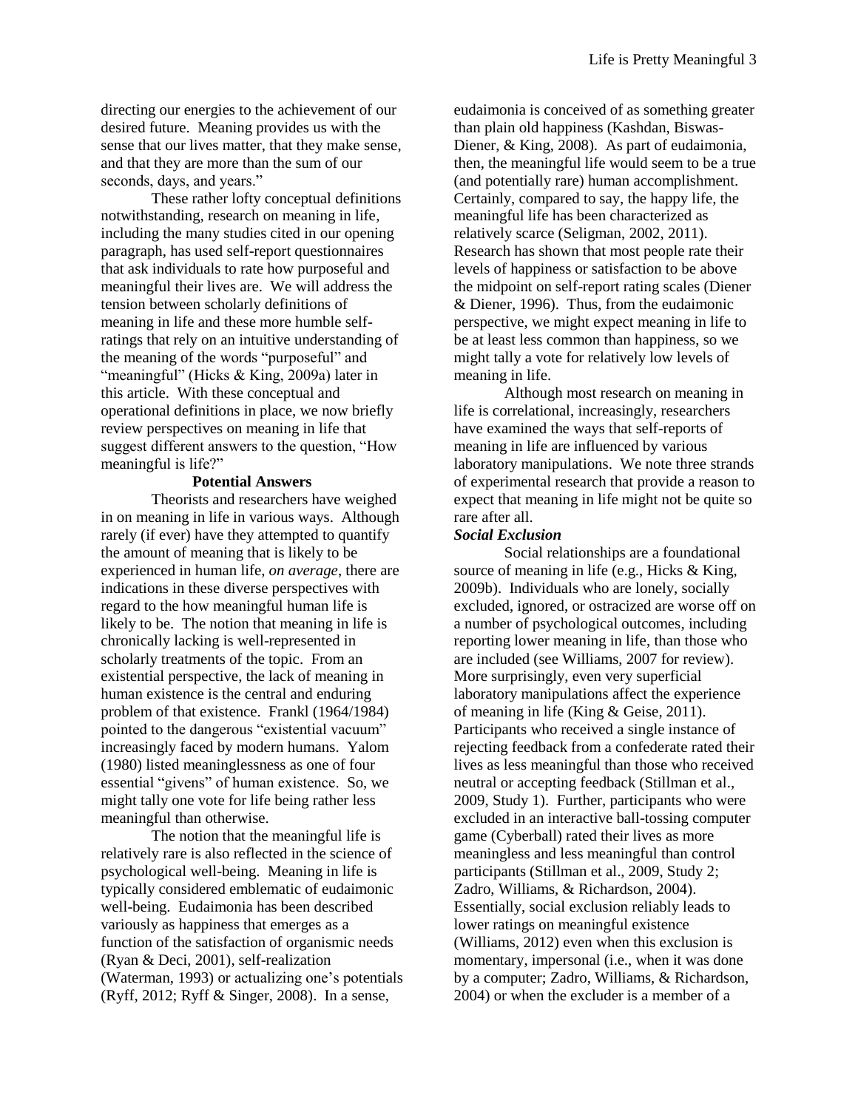directing our energies to the achievement of our desired future. Meaning provides us with the sense that our lives matter, that they make sense, and that they are more than the sum of our seconds, days, and years."

These rather lofty conceptual definitions notwithstanding, research on meaning in life, including the many studies cited in our opening paragraph, has used self-report questionnaires that ask individuals to rate how purposeful and meaningful their lives are. We will address the tension between scholarly definitions of meaning in life and these more humble selfratings that rely on an intuitive understanding of the meaning of the words "purposeful" and "meaningful" (Hicks & King, 2009a) later in this article. With these conceptual and operational definitions in place, we now briefly review perspectives on meaning in life that suggest different answers to the question, "How meaningful is life?"

#### **Potential Answers**

Theorists and researchers have weighed in on meaning in life in various ways. Although rarely (if ever) have they attempted to quantify the amount of meaning that is likely to be experienced in human life, *on average*, there are indications in these diverse perspectives with regard to the how meaningful human life is likely to be. The notion that meaning in life is chronically lacking is well-represented in scholarly treatments of the topic. From an existential perspective, the lack of meaning in human existence is the central and enduring problem of that existence. Frankl (1964/1984) pointed to the dangerous "existential vacuum" increasingly faced by modern humans. Yalom (1980) listed meaninglessness as one of four essential "givens" of human existence. So, we might tally one vote for life being rather less meaningful than otherwise.

The notion that the meaningful life is relatively rare is also reflected in the science of psychological well-being. Meaning in life is typically considered emblematic of eudaimonic well-being. Eudaimonia has been described variously as happiness that emerges as a function of the satisfaction of organismic needs (Ryan & Deci, 2001), self-realization (Waterman, 1993) or actualizing one's potentials (Ryff, 2012; Ryff & Singer, 2008). In a sense,

eudaimonia is conceived of as something greater than plain old happiness (Kashdan, Biswas-Diener, & King, 2008). As part of eudaimonia, then, the meaningful life would seem to be a true (and potentially rare) human accomplishment. Certainly, compared to say, the happy life, the meaningful life has been characterized as relatively scarce (Seligman, 2002, 2011). Research has shown that most people rate their levels of happiness or satisfaction to be above the midpoint on self-report rating scales (Diener & Diener, 1996). Thus, from the eudaimonic perspective, we might expect meaning in life to be at least less common than happiness, so we might tally a vote for relatively low levels of meaning in life.

Although most research on meaning in life is correlational, increasingly, researchers have examined the ways that self-reports of meaning in life are influenced by various laboratory manipulations. We note three strands of experimental research that provide a reason to expect that meaning in life might not be quite so rare after all.

#### *Social Exclusion*

Social relationships are a foundational source of meaning in life (e.g., Hicks & King, 2009b). Individuals who are lonely, socially excluded, ignored, or ostracized are worse off on a number of psychological outcomes, including reporting lower meaning in life, than those who are included (see Williams, 2007 for review). More surprisingly, even very superficial laboratory manipulations affect the experience of meaning in life (King & Geise, 2011). Participants who received a single instance of rejecting feedback from a confederate rated their lives as less meaningful than those who received neutral or accepting feedback (Stillman et al., 2009, Study 1). Further, participants who were excluded in an interactive ball-tossing computer game (Cyberball) rated their lives as more meaningless and less meaningful than control participants (Stillman et al., 2009, Study 2; Zadro, Williams, & Richardson, 2004). Essentially, social exclusion reliably leads to lower ratings on meaningful existence (Williams, 2012) even when this exclusion is momentary, impersonal (i.e., when it was done by a computer; Zadro, Williams, & Richardson, 2004) or when the excluder is a member of a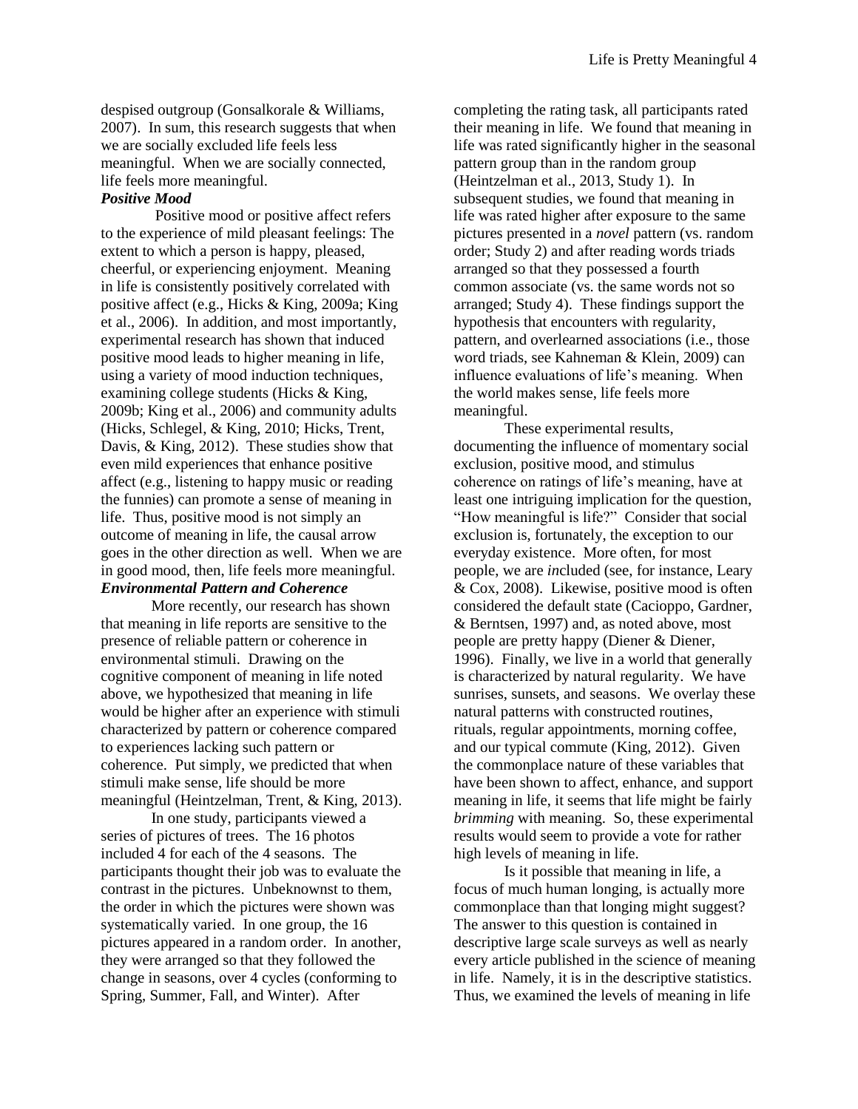despised outgroup (Gonsalkorale & Williams, 2007). In sum, this research suggests that when we are socially excluded life feels less meaningful. When we are socially connected, life feels more meaningful.

## *Positive Mood*

Positive mood or positive affect refers to the experience of mild pleasant feelings: The extent to which a person is happy, pleased, cheerful, or experiencing enjoyment. Meaning in life is consistently positively correlated with positive affect (e.g., Hicks & King, 2009a; King et al., 2006). In addition, and most importantly, experimental research has shown that induced positive mood leads to higher meaning in life, using a variety of mood induction techniques, examining college students (Hicks & King, 2009b; King et al., 2006) and community adults (Hicks, Schlegel, & King, 2010; Hicks, Trent, Davis, & King, 2012). These studies show that even mild experiences that enhance positive affect (e.g., listening to happy music or reading the funnies) can promote a sense of meaning in life. Thus, positive mood is not simply an outcome of meaning in life, the causal arrow goes in the other direction as well. When we are in good mood, then, life feels more meaningful. *Environmental Pattern and Coherence*

More recently, our research has shown that meaning in life reports are sensitive to the presence of reliable pattern or coherence in environmental stimuli. Drawing on the cognitive component of meaning in life noted above, we hypothesized that meaning in life would be higher after an experience with stimuli characterized by pattern or coherence compared to experiences lacking such pattern or coherence. Put simply, we predicted that when stimuli make sense, life should be more meaningful (Heintzelman, Trent, & King, 2013).

In one study, participants viewed a series of pictures of trees. The 16 photos included 4 for each of the 4 seasons. The participants thought their job was to evaluate the contrast in the pictures. Unbeknownst to them, the order in which the pictures were shown was systematically varied. In one group, the 16 pictures appeared in a random order. In another, they were arranged so that they followed the change in seasons, over 4 cycles (conforming to Spring, Summer, Fall, and Winter). After

completing the rating task, all participants rated their meaning in life. We found that meaning in life was rated significantly higher in the seasonal pattern group than in the random group (Heintzelman et al., 2013, Study 1). In subsequent studies, we found that meaning in life was rated higher after exposure to the same pictures presented in a *novel* pattern (vs. random order; Study 2) and after reading words triads arranged so that they possessed a fourth common associate (vs. the same words not so arranged; Study 4). These findings support the hypothesis that encounters with regularity, pattern, and overlearned associations (i.e., those word triads, see Kahneman & Klein, 2009) can influence evaluations of life's meaning. When the world makes sense, life feels more meaningful.

These experimental results, documenting the influence of momentary social exclusion, positive mood, and stimulus coherence on ratings of life's meaning, have at least one intriguing implication for the question, "How meaningful is life?" Consider that social exclusion is, fortunately, the exception to our everyday existence. More often, for most people, we are *in*cluded (see, for instance, Leary & Cox, 2008). Likewise, positive mood is often considered the default state (Cacioppo, Gardner, & Berntsen, 1997) and, as noted above, most people are pretty happy (Diener & Diener, 1996). Finally, we live in a world that generally is characterized by natural regularity. We have sunrises, sunsets, and seasons. We overlay these natural patterns with constructed routines, rituals, regular appointments, morning coffee, and our typical commute (King, 2012). Given the commonplace nature of these variables that have been shown to affect, enhance, and support meaning in life, it seems that life might be fairly *brimming* with meaning. So, these experimental results would seem to provide a vote for rather high levels of meaning in life.

Is it possible that meaning in life, a focus of much human longing, is actually more commonplace than that longing might suggest? The answer to this question is contained in descriptive large scale surveys as well as nearly every article published in the science of meaning in life. Namely, it is in the descriptive statistics. Thus, we examined the levels of meaning in life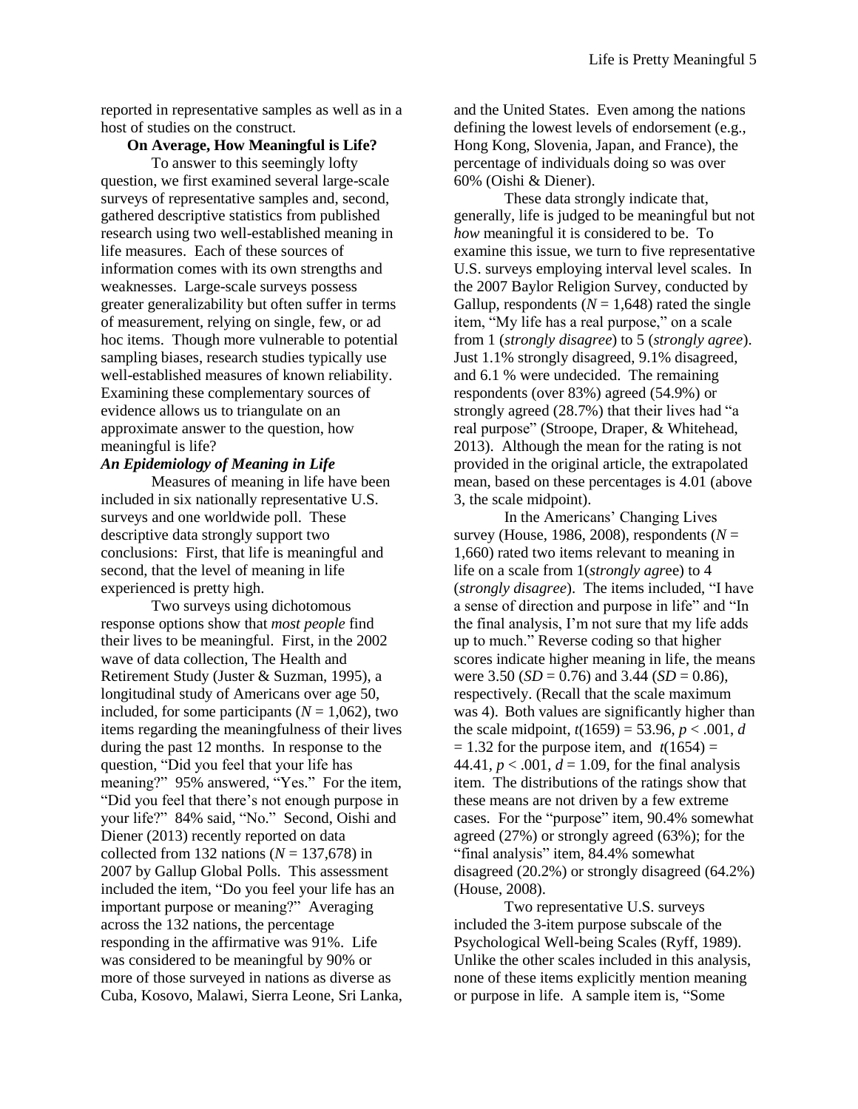reported in representative samples as well as in a host of studies on the construct.

#### **On Average, How Meaningful is Life?**

To answer to this seemingly lofty question, we first examined several large-scale surveys of representative samples and, second, gathered descriptive statistics from published research using two well-established meaning in life measures. Each of these sources of information comes with its own strengths and weaknesses. Large-scale surveys possess greater generalizability but often suffer in terms of measurement, relying on single, few, or ad hoc items. Though more vulnerable to potential sampling biases, research studies typically use well-established measures of known reliability. Examining these complementary sources of evidence allows us to triangulate on an approximate answer to the question, how meaningful is life?

#### *An Epidemiology of Meaning in Life*

Measures of meaning in life have been included in six nationally representative U.S. surveys and one worldwide poll. These descriptive data strongly support two conclusions: First, that life is meaningful and second, that the level of meaning in life experienced is pretty high.

Two surveys using dichotomous response options show that *most people* find their lives to be meaningful. First, in the 2002 wave of data collection, The Health and Retirement Study (Juster & Suzman, 1995), a longitudinal study of Americans over age 50, included, for some participants ( $N = 1,062$ ), two items regarding the meaningfulness of their lives during the past 12 months. In response to the question, "Did you feel that your life has meaning?" 95% answered, "Yes." For the item, "Did you feel that there's not enough purpose in your life?" 84% said, "No." Second, Oishi and Diener (2013) recently reported on data collected from 132 nations ( $N = 137,678$ ) in 2007 by Gallup Global Polls. This assessment included the item, "Do you feel your life has an important purpose or meaning?" Averaging across the 132 nations, the percentage responding in the affirmative was 91%. Life was considered to be meaningful by 90% or more of those surveyed in nations as diverse as Cuba, Kosovo, Malawi, Sierra Leone, Sri Lanka, and the United States. Even among the nations defining the lowest levels of endorsement (e.g., Hong Kong, Slovenia, Japan, and France), the percentage of individuals doing so was over 60% (Oishi & Diener).

These data strongly indicate that, generally, life is judged to be meaningful but not *how* meaningful it is considered to be. To examine this issue, we turn to five representative U.S. surveys employing interval level scales. In the 2007 Baylor Religion Survey, conducted by Gallup, respondents  $(N = 1,648)$  rated the single item, "My life has a real purpose," on a scale from 1 (*strongly disagree*) to 5 (*strongly agree*). Just 1.1% strongly disagreed, 9.1% disagreed, and 6.1 % were undecided. The remaining respondents (over 83%) agreed (54.9%) or strongly agreed (28.7%) that their lives had "a real purpose" (Stroope, Draper, & Whitehead, 2013). Although the mean for the rating is not provided in the original article, the extrapolated mean, based on these percentages is 4.01 (above 3, the scale midpoint).

In the Americans' Changing Lives survey (House, 1986, 2008), respondents (*N* = 1,660) rated two items relevant to meaning in life on a scale from 1(*strongly agr*ee) to 4 (*strongly disagree*). The items included, "I have a sense of direction and purpose in life" and "In the final analysis, I'm not sure that my life adds up to much." Reverse coding so that higher scores indicate higher meaning in life, the means were  $3.50$  (*SD* = 0.76) and  $3.44$  (*SD* = 0.86), respectively. (Recall that the scale maximum was 4). Both values are significantly higher than the scale midpoint,  $t(1659) = 53.96$ ,  $p < .001$ , *d*  $= 1.32$  for the purpose item, and  $t(1654) =$ 44.41,  $p < .001$ ,  $d = 1.09$ , for the final analysis item. The distributions of the ratings show that these means are not driven by a few extreme cases. For the "purpose" item, 90.4% somewhat agreed (27%) or strongly agreed (63%); for the "final analysis" item, 84.4% somewhat disagreed (20.2%) or strongly disagreed (64.2%) (House, 2008).

Two representative U.S. surveys included the 3-item purpose subscale of the Psychological Well-being Scales (Ryff, 1989). Unlike the other scales included in this analysis, none of these items explicitly mention meaning or purpose in life. A sample item is, "Some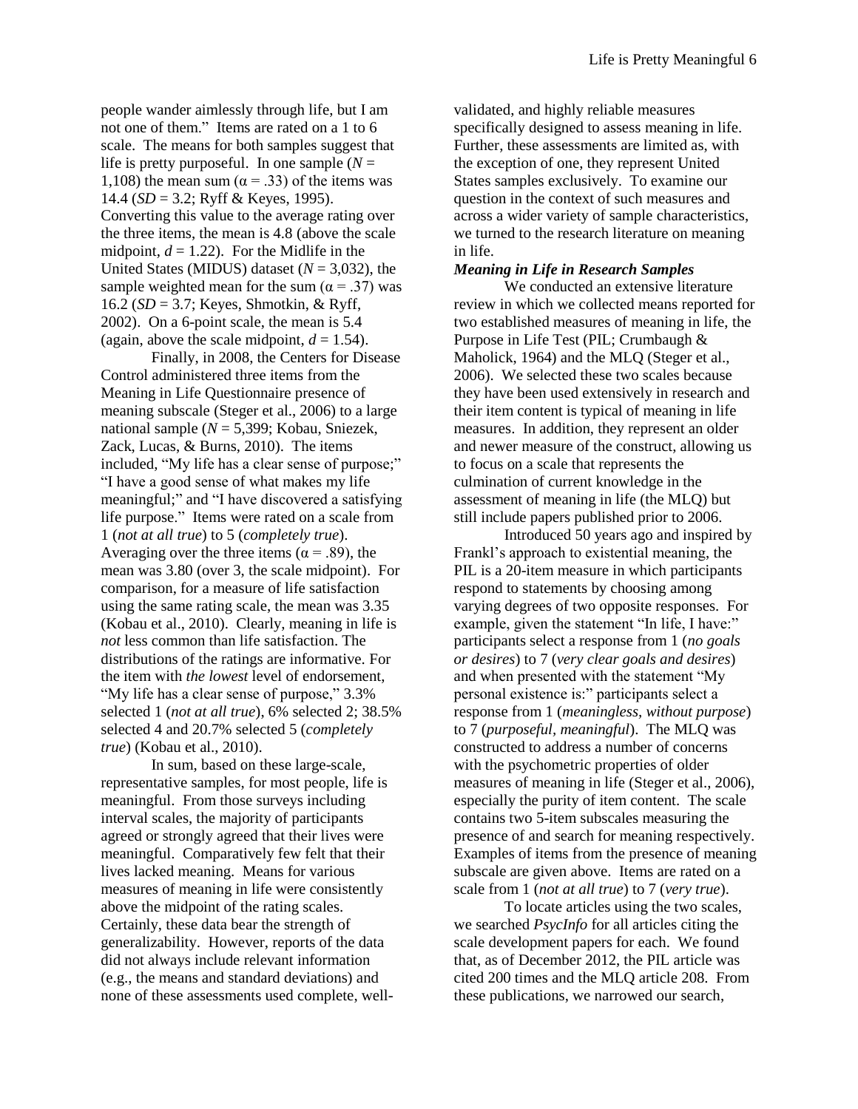people wander aimlessly through life, but I am not one of them." Items are rated on a 1 to 6 scale. The means for both samples suggest that life is pretty purposeful. In one sample  $(N =$ 1,108) the mean sum ( $\alpha$  = .33) of the items was 14.4 (*SD* = 3.2; Ryff & Keyes, 1995). Converting this value to the average rating over the three items, the mean is 4.8 (above the scale midpoint,  $d = 1.22$ ). For the Midlife in the United States (MIDUS) dataset  $(N = 3,032)$ , the sample weighted mean for the sum ( $\alpha$  = .37) was 16.2 (*SD* = 3.7; Keyes, Shmotkin, & Ryff, 2002). On a 6-point scale, the mean is 5.4 (again, above the scale midpoint,  $d = 1.54$ ).

Finally, in 2008, the Centers for Disease Control administered three items from the Meaning in Life Questionnaire presence of meaning subscale (Steger et al., 2006) to a large national sample (*N* = 5,399; Kobau, Sniezek, Zack, Lucas, & Burns, 2010). The items included, "My life has a clear sense of purpose;" "I have a good sense of what makes my life meaningful;" and "I have discovered a satisfying life purpose." Items were rated on a scale from 1 (*not at all true*) to 5 (*completely true*). Averaging over the three items ( $\alpha$  = .89), the mean was 3.80 (over 3, the scale midpoint). For comparison, for a measure of life satisfaction using the same rating scale, the mean was 3.35 (Kobau et al., 2010). Clearly, meaning in life is *not* less common than life satisfaction. The distributions of the ratings are informative. For the item with *the lowest* level of endorsement, "My life has a clear sense of purpose," 3.3% selected 1 (*not at all true*), 6% selected 2; 38.5% selected 4 and 20.7% selected 5 (*completely true*) (Kobau et al., 2010).

In sum, based on these large-scale, representative samples, for most people, life is meaningful. From those surveys including interval scales, the majority of participants agreed or strongly agreed that their lives were meaningful. Comparatively few felt that their lives lacked meaning. Means for various measures of meaning in life were consistently above the midpoint of the rating scales. Certainly, these data bear the strength of generalizability. However, reports of the data did not always include relevant information (e.g., the means and standard deviations) and none of these assessments used complete, wellvalidated, and highly reliable measures specifically designed to assess meaning in life. Further, these assessments are limited as, with the exception of one, they represent United States samples exclusively. To examine our question in the context of such measures and across a wider variety of sample characteristics, we turned to the research literature on meaning in life.

### *Meaning in Life in Research Samples*

We conducted an extensive literature review in which we collected means reported for two established measures of meaning in life, the Purpose in Life Test (PIL; Crumbaugh & Maholick, 1964) and the MLO (Steger et al., 2006). We selected these two scales because they have been used extensively in research and their item content is typical of meaning in life measures. In addition, they represent an older and newer measure of the construct, allowing us to focus on a scale that represents the culmination of current knowledge in the assessment of meaning in life (the MLQ) but still include papers published prior to 2006.

Introduced 50 years ago and inspired by Frankl's approach to existential meaning, the PIL is a 20-item measure in which participants respond to statements by choosing among varying degrees of two opposite responses. For example, given the statement "In life, I have:" participants select a response from 1 (*no goals or desires*) to 7 (*very clear goals and desires*) and when presented with the statement "My personal existence is:" participants select a response from 1 (*meaningless, without purpose*) to 7 (*purposeful, meaningful*). The MLQ was constructed to address a number of concerns with the psychometric properties of older measures of meaning in life (Steger et al., 2006), especially the purity of item content. The scale contains two 5-item subscales measuring the presence of and search for meaning respectively. Examples of items from the presence of meaning subscale are given above. Items are rated on a scale from 1 (*not at all true*) to 7 (*very true*).

To locate articles using the two scales, we searched *PsycInfo* for all articles citing the scale development papers for each. We found that, as of December 2012, the PIL article was cited 200 times and the MLQ article 208. From these publications, we narrowed our search,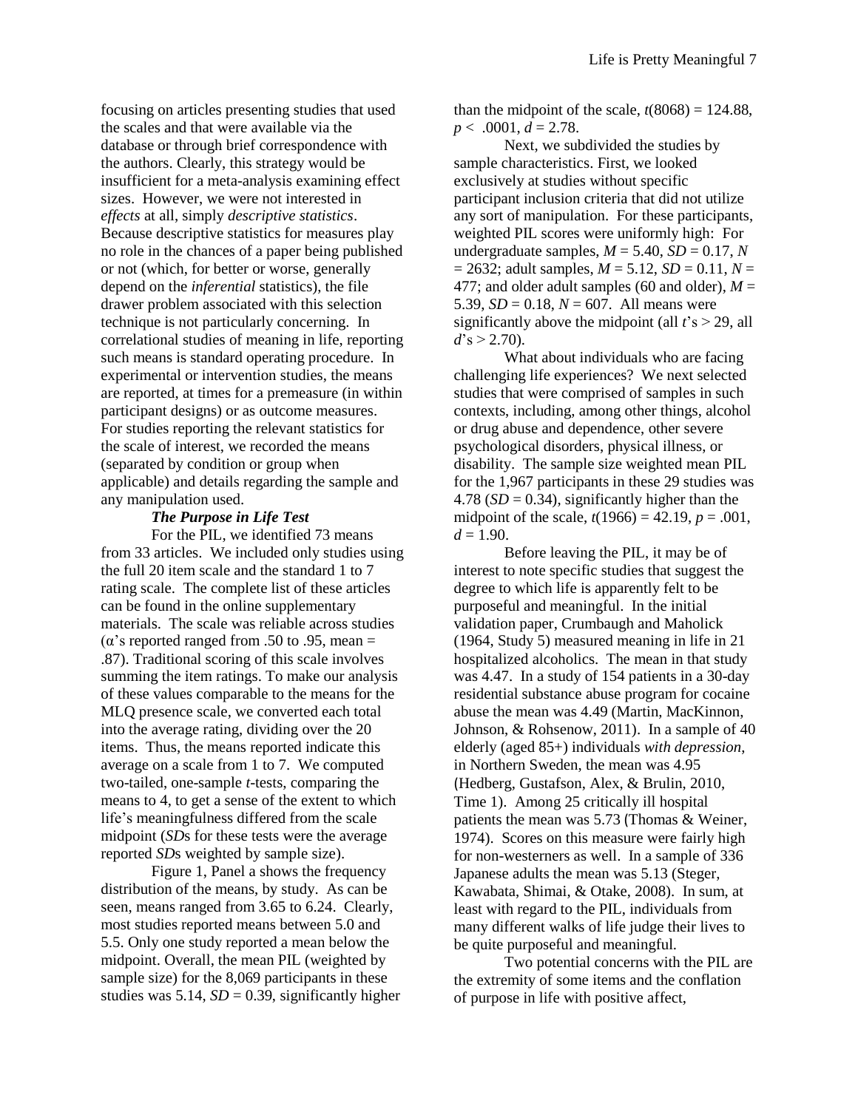focusing on articles presenting studies that used the scales and that were available via the database or through brief correspondence with the authors. Clearly, this strategy would be insufficient for a meta-analysis examining effect sizes. However, we were not interested in *effects* at all, simply *descriptive statistics*. Because descriptive statistics for measures play no role in the chances of a paper being published or not (which, for better or worse, generally depend on the *inferential* statistics), the file drawer problem associated with this selection technique is not particularly concerning. In correlational studies of meaning in life, reporting such means is standard operating procedure. In experimental or intervention studies, the means are reported, at times for a premeasure (in within participant designs) or as outcome measures. For studies reporting the relevant statistics for the scale of interest, we recorded the means (separated by condition or group when applicable) and details regarding the sample and any manipulation used.

#### *The Purpose in Life Test*

For the PIL, we identified 73 means from 33 articles. We included only studies using the full 20 item scale and the standard 1 to 7 rating scale. The complete list of these articles can be found in the online supplementary materials. The scale was reliable across studies ( $\alpha$ 's reported ranged from .50 to .95, mean = .87). Traditional scoring of this scale involves summing the item ratings. To make our analysis of these values comparable to the means for the MLQ presence scale, we converted each total into the average rating, dividing over the 20 items. Thus, the means reported indicate this average on a scale from 1 to 7. We computed two-tailed, one-sample *t*-tests, comparing the means to 4, to get a sense of the extent to which life's meaningfulness differed from the scale midpoint (*SD*s for these tests were the average reported *SD*s weighted by sample size).

Figure 1, Panel a shows the frequency distribution of the means, by study. As can be seen, means ranged from 3.65 to 6.24. Clearly, most studies reported means between 5.0 and 5.5. Only one study reported a mean below the midpoint. Overall, the mean PIL (weighted by sample size) for the 8,069 participants in these studies was  $5.14$ ,  $SD = 0.39$ , significantly higher

than the midpoint of the scale,  $t(8068) = 124.88$ ,  $p < .0001, d = 2.78.$ 

Next, we subdivided the studies by sample characteristics. First, we looked exclusively at studies without specific participant inclusion criteria that did not utilize any sort of manipulation. For these participants, weighted PIL scores were uniformly high: For undergraduate samples,  $M = 5.40$ ,  $SD = 0.17$ , N  $= 2632$ ; adult samples,  $M = 5.12$ ,  $SD = 0.11$ ,  $N =$ 477; and older adult samples (60 and older),  $M =$ 5.39,  $SD = 0.18$ ,  $N = 607$ . All means were significantly above the midpoint (all  $t's > 29$ , all  $d$ 's > 2.70).

What about individuals who are facing challenging life experiences? We next selected studies that were comprised of samples in such contexts, including, among other things, alcohol or drug abuse and dependence, other severe psychological disorders, physical illness, or disability. The sample size weighted mean PIL for the 1,967 participants in these 29 studies was 4.78  $(SD = 0.34)$ , significantly higher than the midpoint of the scale,  $t(1966) = 42.19$ ,  $p = .001$ ,  $d = 1.90$ .

Before leaving the PIL, it may be of interest to note specific studies that suggest the degree to which life is apparently felt to be purposeful and meaningful. In the initial validation paper, Crumbaugh and Maholick (1964, Study 5) measured meaning in life in 21 hospitalized alcoholics. The mean in that study was 4.47. In a study of 154 patients in a 30-day residential substance abuse program for cocaine abuse the mean was 4.49 (Martin, MacKinnon, Johnson, & Rohsenow, 2011). In a sample of 40 elderly (aged 85+) individuals *with depression*, in Northern Sweden, the mean was 4.95 (Hedberg, Gustafson, Alex, & Brulin, 2010, Time 1). Among 25 critically ill hospital patients the mean was 5.73 (Thomas & Weiner, 1974). Scores on this measure were fairly high for non-westerners as well. In a sample of 336 Japanese adults the mean was 5.13 (Steger, Kawabata, Shimai, & Otake, 2008). In sum, at least with regard to the PIL, individuals from many different walks of life judge their lives to be quite purposeful and meaningful.

Two potential concerns with the PIL are the extremity of some items and the conflation of purpose in life with positive affect,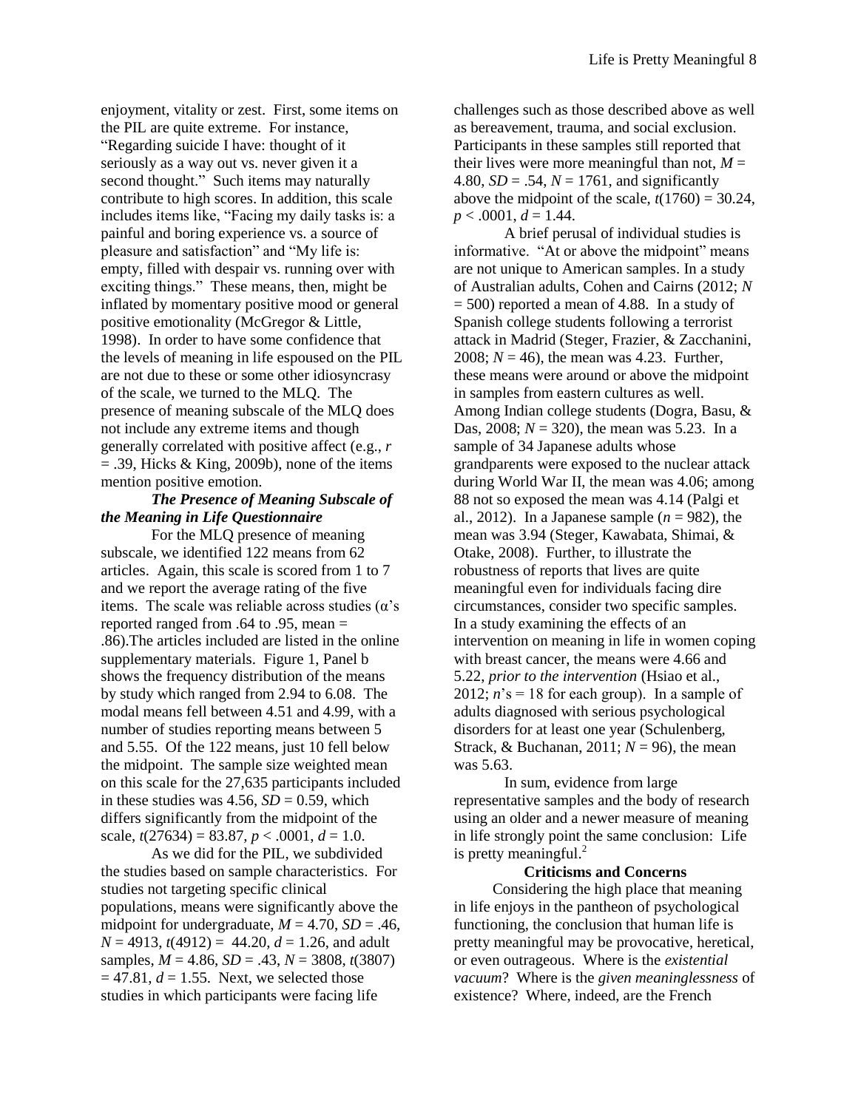enjoyment, vitality or zest. First, some items on the PIL are quite extreme. For instance, "Regarding suicide I have: thought of it seriously as a way out vs. never given it a second thought." Such items may naturally contribute to high scores. In addition, this scale includes items like, "Facing my daily tasks is: a painful and boring experience vs. a source of pleasure and satisfaction" and "My life is: empty, filled with despair vs. running over with exciting things." These means, then, might be inflated by momentary positive mood or general positive emotionality (McGregor & Little, 1998). In order to have some confidence that the levels of meaning in life espoused on the PIL are not due to these or some other idiosyncrasy of the scale, we turned to the MLQ. The presence of meaning subscale of the MLQ does not include any extreme items and though generally correlated with positive affect (e.g., *r*  $=$  .39, Hicks & King, 2009b), none of the items mention positive emotion.

## *The Presence of Meaning Subscale of the Meaning in Life Questionnaire*

For the MLQ presence of meaning subscale, we identified 122 means from 62 articles. Again, this scale is scored from 1 to 7 and we report the average rating of the five items. The scale was reliable across studies  $(\alpha)$ 's reported ranged from .64 to .95, mean = .86).The articles included are listed in the online supplementary materials. Figure 1, Panel b shows the frequency distribution of the means by study which ranged from 2.94 to 6.08. The modal means fell between 4.51 and 4.99, with a number of studies reporting means between 5 and 5.55. Of the 122 means, just 10 fell below the midpoint. The sample size weighted mean on this scale for the 27,635 participants included in these studies was  $4.56$ ,  $SD = 0.59$ , which differs significantly from the midpoint of the scale,  $t(27634) = 83.87$ ,  $p < .0001$ ,  $d = 1.0$ .

As we did for the PIL, we subdivided the studies based on sample characteristics. For studies not targeting specific clinical populations, means were significantly above the midpoint for undergraduate,  $M = 4.70$ ,  $SD = .46$ ,  $N = 4913$ ,  $t(4912) = 44.20$ ,  $d = 1.26$ , and adult samples,  $M = 4.86$ ,  $SD = .43$ ,  $N = 3808$ ,  $t(3807)$  $= 47.81, d = 1.55$ . Next, we selected those studies in which participants were facing life

challenges such as those described above as well as bereavement, trauma, and social exclusion. Participants in these samples still reported that their lives were more meaningful than not,  $M =$ 4.80,  $SD = .54$ ,  $N = 1761$ , and significantly above the midpoint of the scale,  $t(1760) = 30.24$ ,  $p < .0001, d = 1.44.$ 

A brief perusal of individual studies is informative. "At or above the midpoint" means are not unique to American samples. In a study of Australian adults, Cohen and Cairns (2012; *N*  $= 500$ ) reported a mean of 4.88. In a study of Spanish college students following a terrorist attack in Madrid (Steger, Frazier, & Zacchanini, 2008;  $N = 46$ ), the mean was 4.23. Further, these means were around or above the midpoint in samples from eastern cultures as well. Among Indian college students (Dogra, Basu, & Das,  $2008$ ;  $N = 320$ ), the mean was 5.23. In a sample of 34 Japanese adults whose grandparents were exposed to the nuclear attack during World War II, the mean was 4.06; among 88 not so exposed the mean was 4.14 (Palgi et al., 2012). In a Japanese sample  $(n = 982)$ , the mean was 3.94 (Steger, Kawabata, Shimai, & Otake, 2008). Further, to illustrate the robustness of reports that lives are quite meaningful even for individuals facing dire circumstances, consider two specific samples. In a study examining the effects of an intervention on meaning in life in women coping with breast cancer, the means were 4.66 and 5.22, *prior to the intervention* (Hsiao et al., 2012;  $n$ 's = 18 for each group). In a sample of adults diagnosed with serious psychological disorders for at least one year (Schulenberg, Strack, & Buchanan, 2011;  $N = 96$ ), the mean was 5.63.

In sum, evidence from large representative samples and the body of research using an older and a newer measure of meaning in life strongly point the same conclusion: Life is pretty meaningful. $^{2}$ 

#### **Criticisms and Concerns**

 Considering the high place that meaning in life enjoys in the pantheon of psychological functioning, the conclusion that human life is pretty meaningful may be provocative, heretical, or even outrageous. Where is the *existential vacuum*? Where is the *given meaninglessness* of existence? Where, indeed, are the French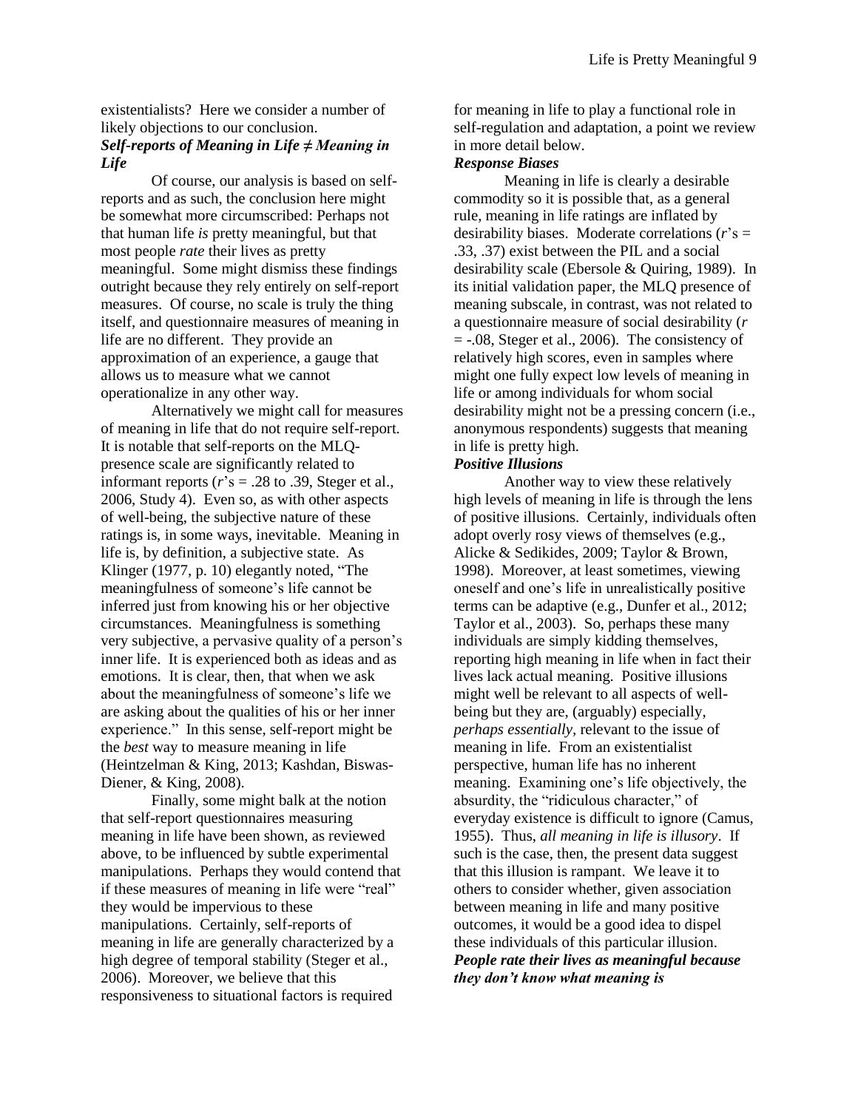existentialists? Here we consider a number of likely objections to our conclusion.

## *Self-reports of Meaning in Life ≠ Meaning in Life*

Of course, our analysis is based on selfreports and as such, the conclusion here might be somewhat more circumscribed: Perhaps not that human life *is* pretty meaningful, but that most people *rate* their lives as pretty meaningful. Some might dismiss these findings outright because they rely entirely on self-report measures. Of course, no scale is truly the thing itself, and questionnaire measures of meaning in life are no different. They provide an approximation of an experience, a gauge that allows us to measure what we cannot operationalize in any other way.

Alternatively we might call for measures of meaning in life that do not require self-report. It is notable that self-reports on the MLQpresence scale are significantly related to informant reports ( $r$ 's = .28 to .39, Steger et al., 2006, Study 4). Even so, as with other aspects of well-being, the subjective nature of these ratings is, in some ways, inevitable. Meaning in life is, by definition, a subjective state. As Klinger (1977, p. 10) elegantly noted, "The meaningfulness of someone's life cannot be inferred just from knowing his or her objective circumstances. Meaningfulness is something very subjective, a pervasive quality of a person's inner life. It is experienced both as ideas and as emotions. It is clear, then, that when we ask about the meaningfulness of someone's life we are asking about the qualities of his or her inner experience." In this sense, self-report might be the *best* way to measure meaning in life (Heintzelman & King, 2013; Kashdan, Biswas-Diener, & King, 2008).

Finally, some might balk at the notion that self-report questionnaires measuring meaning in life have been shown, as reviewed above, to be influenced by subtle experimental manipulations. Perhaps they would contend that if these measures of meaning in life were "real" they would be impervious to these manipulations. Certainly, self-reports of meaning in life are generally characterized by a high degree of temporal stability (Steger et al., 2006). Moreover, we believe that this responsiveness to situational factors is required

for meaning in life to play a functional role in self-regulation and adaptation, a point we review in more detail below.

## *Response Biases*

Meaning in life is clearly a desirable commodity so it is possible that, as a general rule, meaning in life ratings are inflated by desirability biases. Moderate correlations (*r*'s = .33, .37) exist between the PIL and a social desirability scale (Ebersole & Quiring, 1989). In its initial validation paper, the MLQ presence of meaning subscale, in contrast, was not related to a questionnaire measure of social desirability (*r*  $= -0.08$ , Steger et al., 2006). The consistency of relatively high scores, even in samples where might one fully expect low levels of meaning in life or among individuals for whom social desirability might not be a pressing concern (i.e., anonymous respondents) suggests that meaning in life is pretty high.

## *Positive Illusions*

Another way to view these relatively high levels of meaning in life is through the lens of positive illusions. Certainly, individuals often adopt overly rosy views of themselves (e.g., Alicke & Sedikides, 2009; Taylor & Brown, 1998). Moreover, at least sometimes, viewing oneself and one's life in unrealistically positive terms can be adaptive (e.g., Dunfer et al., 2012; Taylor et al., 2003). So, perhaps these many individuals are simply kidding themselves, reporting high meaning in life when in fact their lives lack actual meaning. Positive illusions might well be relevant to all aspects of wellbeing but they are, (arguably) especially, *perhaps essentially,* relevant to the issue of meaning in life. From an existentialist perspective, human life has no inherent meaning. Examining one's life objectively, the absurdity, the "ridiculous character," of everyday existence is difficult to ignore (Camus, 1955). Thus, *all meaning in life is illusory*. If such is the case, then, the present data suggest that this illusion is rampant. We leave it to others to consider whether, given association between meaning in life and many positive outcomes, it would be a good idea to dispel these individuals of this particular illusion. *People rate their lives as meaningful because they don't know what meaning is*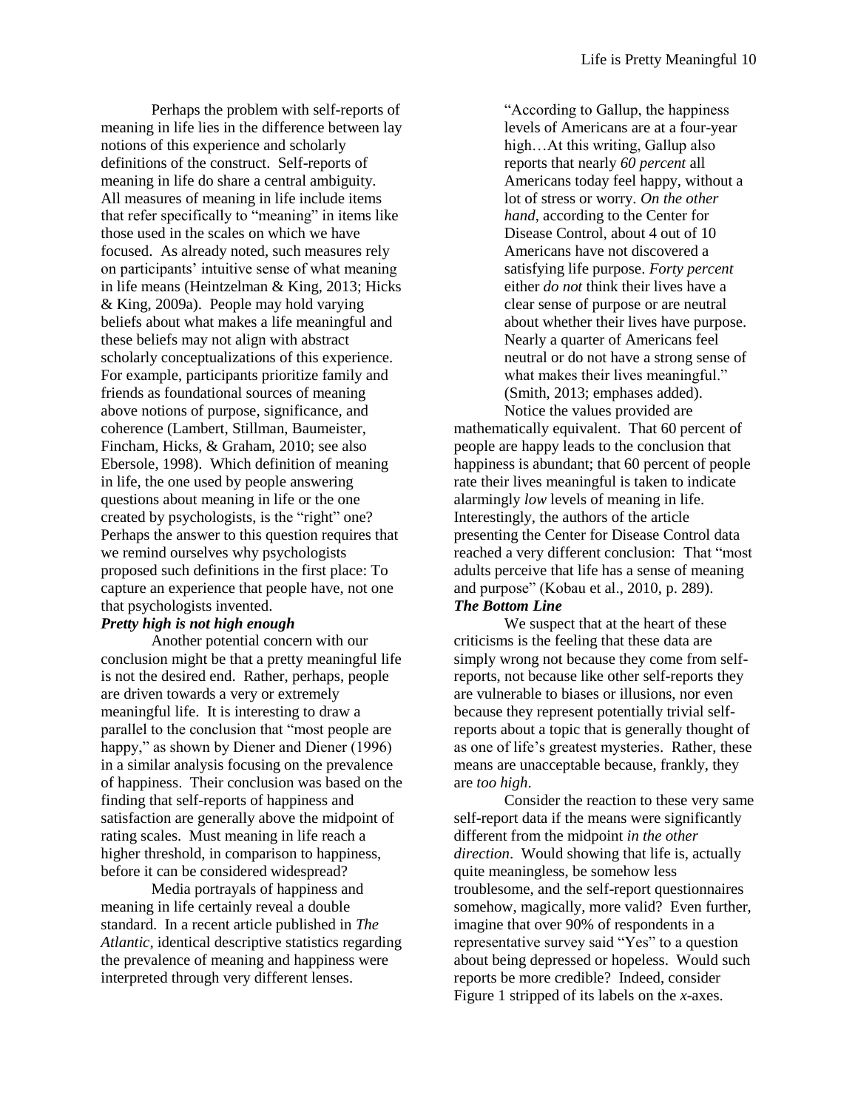Perhaps the problem with self-reports of meaning in life lies in the difference between lay notions of this experience and scholarly definitions of the construct. Self-reports of meaning in life do share a central ambiguity. All measures of meaning in life include items that refer specifically to "meaning" in items like those used in the scales on which we have focused. As already noted, such measures rely on participants' intuitive sense of what meaning in life means (Heintzelman & King, 2013; Hicks & King, 2009a). People may hold varying beliefs about what makes a life meaningful and these beliefs may not align with abstract scholarly conceptualizations of this experience. For example, participants prioritize family and friends as foundational sources of meaning above notions of purpose, significance, and coherence (Lambert, Stillman, Baumeister, Fincham, Hicks, & Graham, 2010; see also Ebersole, 1998). Which definition of meaning in life, the one used by people answering questions about meaning in life or the one created by psychologists, is the "right" one? Perhaps the answer to this question requires that we remind ourselves why psychologists proposed such definitions in the first place: To capture an experience that people have, not one that psychologists invented.

## *Pretty high is not high enough*

Another potential concern with our conclusion might be that a pretty meaningful life is not the desired end. Rather, perhaps, people are driven towards a very or extremely meaningful life. It is interesting to draw a parallel to the conclusion that "most people are happy," as shown by Diener and Diener (1996) in a similar analysis focusing on the prevalence of happiness. Their conclusion was based on the finding that self-reports of happiness and satisfaction are generally above the midpoint of rating scales. Must meaning in life reach a higher threshold, in comparison to happiness, before it can be considered widespread?

Media portrayals of happiness and meaning in life certainly reveal a double standard. In a recent article published in *The Atlantic,* identical descriptive statistics regarding the prevalence of meaning and happiness were interpreted through very different lenses.

"According to Gallup, the happiness levels of Americans are at a four-year high…At this writing, Gallup also reports that nearly *60 percent* all Americans today feel happy, without a lot of stress or worry. *On the other hand*, according to the Center for Disease Control, about 4 out of 10 Americans have not discovered a satisfying life purpose. *Forty percent* either *do not* think their lives have a clear sense of purpose or are neutral about whether their lives have purpose. Nearly a quarter of Americans feel neutral or do not have a strong sense of what makes their lives meaningful." (Smith, 2013; emphases added). Notice the values provided are

mathematically equivalent. That 60 percent of people are happy leads to the conclusion that happiness is abundant; that 60 percent of people rate their lives meaningful is taken to indicate alarmingly *low* levels of meaning in life. Interestingly, the authors of the article presenting the Center for Disease Control data reached a very different conclusion: That "most adults perceive that life has a sense of meaning and purpose" (Kobau et al., 2010, p. 289). *The Bottom Line* 

## We suspect that at the heart of these criticisms is the feeling that these data are simply wrong not because they come from selfreports, not because like other self-reports they are vulnerable to biases or illusions, nor even because they represent potentially trivial selfreports about a topic that is generally thought of as one of life's greatest mysteries. Rather, these means are unacceptable because, frankly, they are *too high*.

Consider the reaction to these very same self-report data if the means were significantly different from the midpoint *in the other direction*. Would showing that life is, actually quite meaningless, be somehow less troublesome, and the self-report questionnaires somehow, magically, more valid? Even further, imagine that over 90% of respondents in a representative survey said "Yes" to a question about being depressed or hopeless. Would such reports be more credible? Indeed, consider Figure 1 stripped of its labels on the *x*-axes.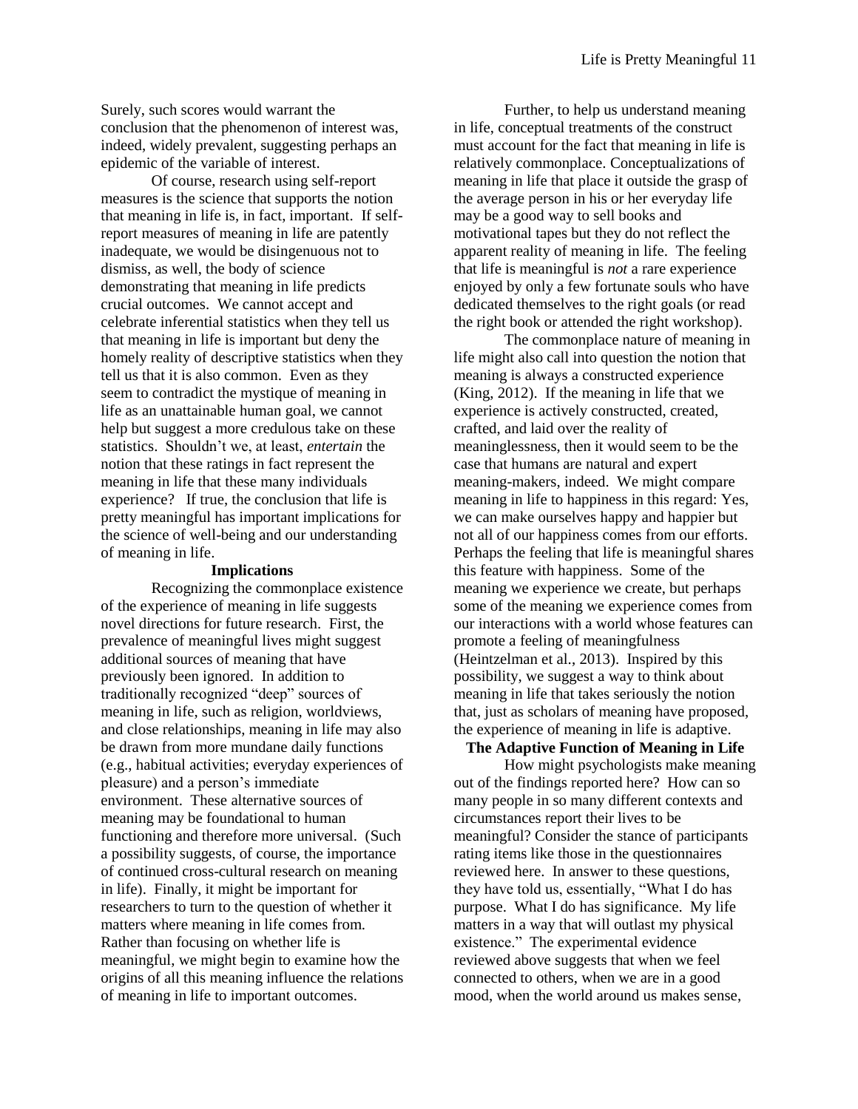Surely, such scores would warrant the conclusion that the phenomenon of interest was, indeed, widely prevalent, suggesting perhaps an epidemic of the variable of interest.

Of course, research using self-report measures is the science that supports the notion that meaning in life is, in fact, important. If selfreport measures of meaning in life are patently inadequate, we would be disingenuous not to dismiss, as well, the body of science demonstrating that meaning in life predicts crucial outcomes. We cannot accept and celebrate inferential statistics when they tell us that meaning in life is important but deny the homely reality of descriptive statistics when they tell us that it is also common. Even as they seem to contradict the mystique of meaning in life as an unattainable human goal, we cannot help but suggest a more credulous take on these statistics. Shouldn't we, at least, *entertain* the notion that these ratings in fact represent the meaning in life that these many individuals experience? If true, the conclusion that life is pretty meaningful has important implications for the science of well-being and our understanding of meaning in life.

#### **Implications**

Recognizing the commonplace existence of the experience of meaning in life suggests novel directions for future research. First, the prevalence of meaningful lives might suggest additional sources of meaning that have previously been ignored. In addition to traditionally recognized "deep" sources of meaning in life, such as religion, worldviews, and close relationships, meaning in life may also be drawn from more mundane daily functions (e.g., habitual activities; everyday experiences of pleasure) and a person's immediate environment. These alternative sources of meaning may be foundational to human functioning and therefore more universal. (Such a possibility suggests, of course, the importance of continued cross-cultural research on meaning in life). Finally, it might be important for researchers to turn to the question of whether it matters where meaning in life comes from. Rather than focusing on whether life is meaningful, we might begin to examine how the origins of all this meaning influence the relations of meaning in life to important outcomes.

Further, to help us understand meaning in life, conceptual treatments of the construct must account for the fact that meaning in life is relatively commonplace. Conceptualizations of meaning in life that place it outside the grasp of the average person in his or her everyday life may be a good way to sell books and motivational tapes but they do not reflect the apparent reality of meaning in life. The feeling that life is meaningful is *not* a rare experience enjoyed by only a few fortunate souls who have dedicated themselves to the right goals (or read the right book or attended the right workshop).

The commonplace nature of meaning in life might also call into question the notion that meaning is always a constructed experience (King, 2012). If the meaning in life that we experience is actively constructed, created, crafted, and laid over the reality of meaninglessness, then it would seem to be the case that humans are natural and expert meaning-makers, indeed. We might compare meaning in life to happiness in this regard: Yes, we can make ourselves happy and happier but not all of our happiness comes from our efforts. Perhaps the feeling that life is meaningful shares this feature with happiness. Some of the meaning we experience we create, but perhaps some of the meaning we experience comes from our interactions with a world whose features can promote a feeling of meaningfulness (Heintzelman et al., 2013). Inspired by this possibility, we suggest a way to think about meaning in life that takes seriously the notion that, just as scholars of meaning have proposed, the experience of meaning in life is adaptive.

#### **The Adaptive Function of Meaning in Life**

How might psychologists make meaning out of the findings reported here? How can so many people in so many different contexts and circumstances report their lives to be meaningful? Consider the stance of participants rating items like those in the questionnaires reviewed here. In answer to these questions, they have told us, essentially, "What I do has purpose. What I do has significance. My life matters in a way that will outlast my physical existence." The experimental evidence reviewed above suggests that when we feel connected to others, when we are in a good mood, when the world around us makes sense,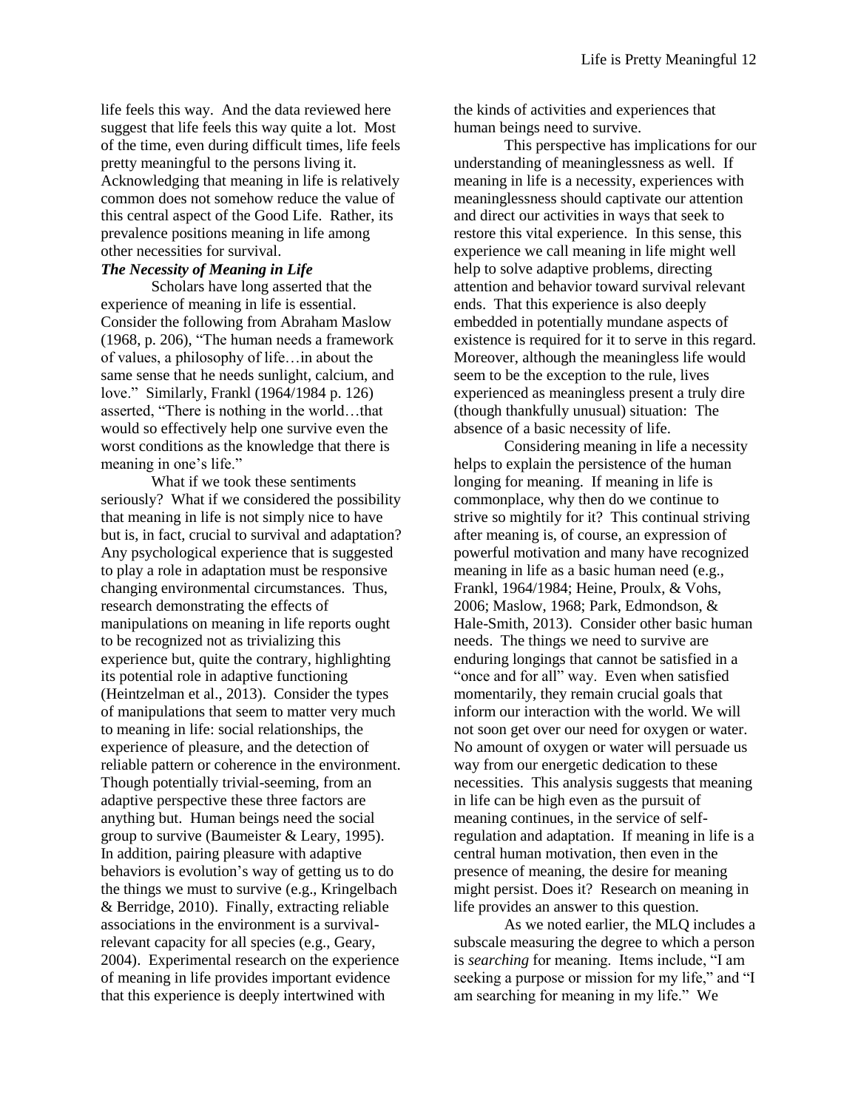life feels this way. And the data reviewed here suggest that life feels this way quite a lot. Most of the time, even during difficult times, life feels pretty meaningful to the persons living it. Acknowledging that meaning in life is relatively common does not somehow reduce the value of this central aspect of the Good Life. Rather, its prevalence positions meaning in life among other necessities for survival.

#### *The Necessity of Meaning in Life*

Scholars have long asserted that the experience of meaning in life is essential. Consider the following from Abraham Maslow (1968, p. 206), "The human needs a framework of values, a philosophy of life…in about the same sense that he needs sunlight, calcium, and love." Similarly, Frankl (1964/1984 p. 126) asserted, "There is nothing in the world…that would so effectively help one survive even the worst conditions as the knowledge that there is meaning in one's life."

What if we took these sentiments seriously? What if we considered the possibility that meaning in life is not simply nice to have but is, in fact, crucial to survival and adaptation? Any psychological experience that is suggested to play a role in adaptation must be responsive changing environmental circumstances. Thus, research demonstrating the effects of manipulations on meaning in life reports ought to be recognized not as trivializing this experience but, quite the contrary, highlighting its potential role in adaptive functioning (Heintzelman et al., 2013). Consider the types of manipulations that seem to matter very much to meaning in life: social relationships, the experience of pleasure, and the detection of reliable pattern or coherence in the environment. Though potentially trivial-seeming, from an adaptive perspective these three factors are anything but. Human beings need the social group to survive (Baumeister & Leary, 1995). In addition, pairing pleasure with adaptive behaviors is evolution's way of getting us to do the things we must to survive (e.g., Kringelbach & Berridge, 2010). Finally, extracting reliable associations in the environment is a survivalrelevant capacity for all species (e.g., Geary, 2004). Experimental research on the experience of meaning in life provides important evidence that this experience is deeply intertwined with

the kinds of activities and experiences that human beings need to survive.

This perspective has implications for our understanding of meaninglessness as well. If meaning in life is a necessity, experiences with meaninglessness should captivate our attention and direct our activities in ways that seek to restore this vital experience. In this sense, this experience we call meaning in life might well help to solve adaptive problems, directing attention and behavior toward survival relevant ends. That this experience is also deeply embedded in potentially mundane aspects of existence is required for it to serve in this regard. Moreover, although the meaningless life would seem to be the exception to the rule, lives experienced as meaningless present a truly dire (though thankfully unusual) situation: The absence of a basic necessity of life.

Considering meaning in life a necessity helps to explain the persistence of the human longing for meaning. If meaning in life is commonplace, why then do we continue to strive so mightily for it? This continual striving after meaning is, of course, an expression of powerful motivation and many have recognized meaning in life as a basic human need (e.g., Frankl, 1964/1984; Heine, Proulx, & Vohs, 2006; Maslow, 1968; Park, Edmondson, & Hale-Smith, 2013). Consider other basic human needs. The things we need to survive are enduring longings that cannot be satisfied in a "once and for all" way. Even when satisfied momentarily, they remain crucial goals that inform our interaction with the world. We will not soon get over our need for oxygen or water. No amount of oxygen or water will persuade us way from our energetic dedication to these necessities. This analysis suggests that meaning in life can be high even as the pursuit of meaning continues, in the service of selfregulation and adaptation. If meaning in life is a central human motivation, then even in the presence of meaning, the desire for meaning might persist. Does it? Research on meaning in life provides an answer to this question.

As we noted earlier, the MLQ includes a subscale measuring the degree to which a person is *searching* for meaning. Items include, "I am seeking a purpose or mission for my life," and "I am searching for meaning in my life." We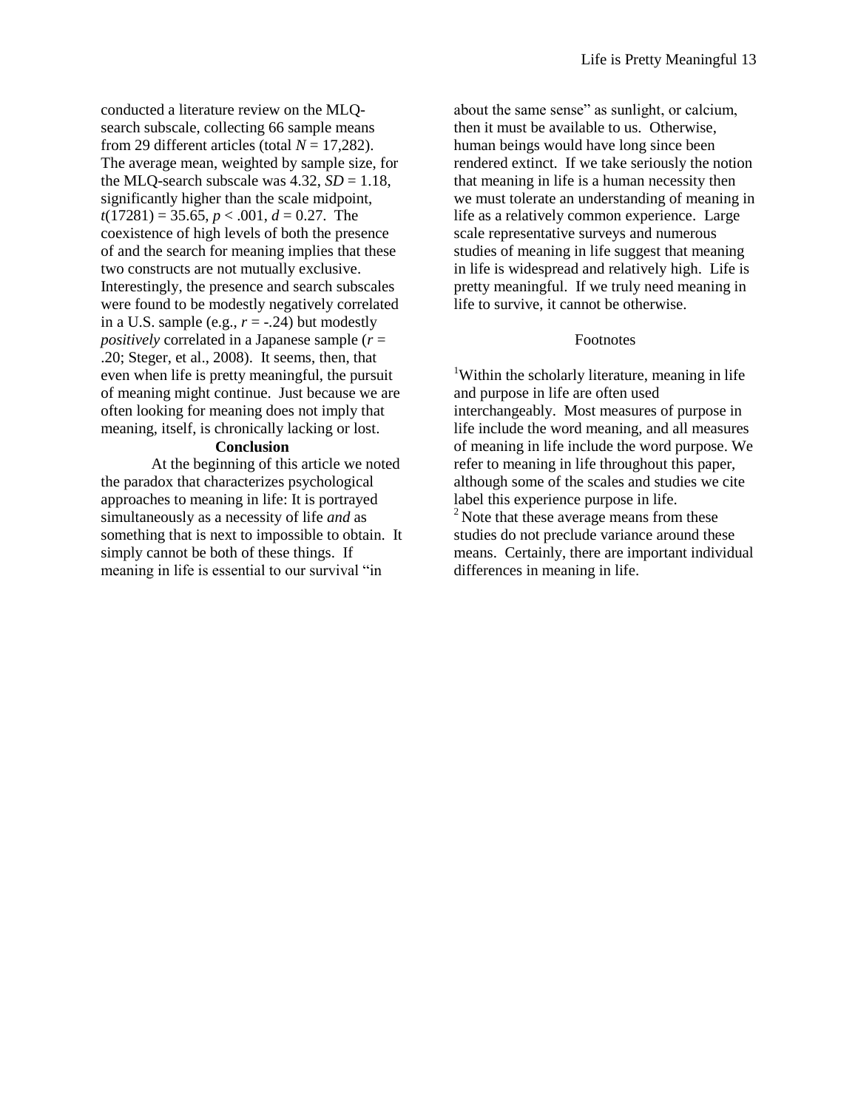conducted a literature review on the MLQsearch subscale, collecting 66 sample means from 29 different articles (total  $N = 17,282$ ). The average mean, weighted by sample size, for the MLO-search subscale was  $4.32$ ,  $SD = 1.18$ , significantly higher than the scale midpoint,  $t(17281) = 35.65, p < .001, d = 0.27$ . The coexistence of high levels of both the presence of and the search for meaning implies that these two constructs are not mutually exclusive. Interestingly, the presence and search subscales were found to be modestly negatively correlated in a U.S. sample (e.g.,  $r = -.24$ ) but modestly *positively* correlated in a Japanese sample (*r* = .20; Steger, et al., 2008). It seems, then, that even when life is pretty meaningful, the pursuit of meaning might continue. Just because we are often looking for meaning does not imply that meaning, itself, is chronically lacking or lost.

#### **Conclusion**

At the beginning of this article we noted the paradox that characterizes psychological approaches to meaning in life: It is portrayed simultaneously as a necessity of life *and* as something that is next to impossible to obtain. It simply cannot be both of these things. If meaning in life is essential to our survival "in

about the same sense" as sunlight, or calcium, then it must be available to us. Otherwise, human beings would have long since been rendered extinct. If we take seriously the notion that meaning in life is a human necessity then we must tolerate an understanding of meaning in life as a relatively common experience. Large scale representative surveys and numerous studies of meaning in life suggest that meaning in life is widespread and relatively high. Life is pretty meaningful. If we truly need meaning in life to survive, it cannot be otherwise.

#### Footnotes

<sup>1</sup>Within the scholarly literature, meaning in life and purpose in life are often used interchangeably. Most measures of purpose in life include the word meaning, and all measures of meaning in life include the word purpose. We refer to meaning in life throughout this paper, although some of the scales and studies we cite label this experience purpose in life. <sup>2</sup> Note that these average means from these studies do not preclude variance around these means. Certainly, there are important individual differences in meaning in life.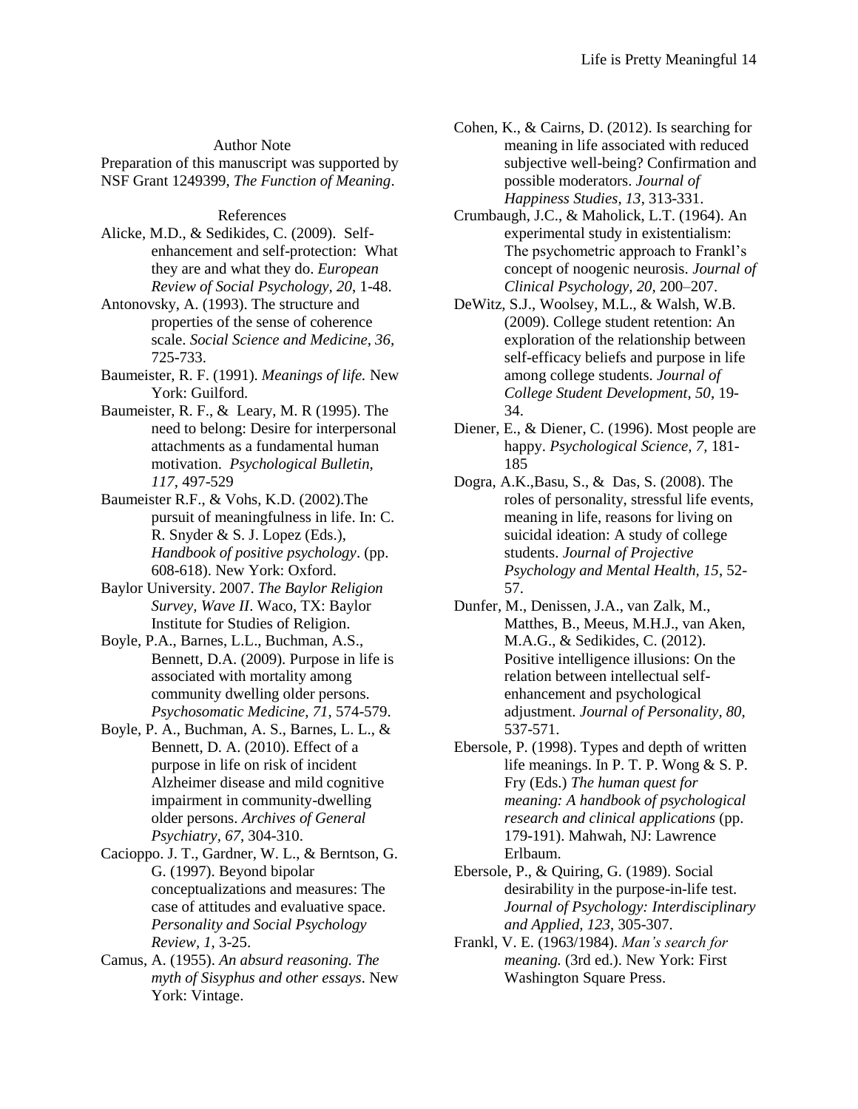## Author Note

Preparation of this manuscript was supported by NSF Grant 1249399, *The Function of Meaning*.

## References

- Alicke, M.D., & Sedikides, C. (2009). Selfenhancement and self-protection: What they are and what they do. *European Review of Social Psychology, 20*, 1-48.
- Antonovsky, A. (1993). The structure and properties of the sense of coherence scale. *Social Science and Medicine, 36,* 725-733.
- Baumeister, R. F. (1991). *Meanings of life.* New York: Guilford.
- Baumeister, R. F., & Leary, M. R (1995). The need to belong: Desire for interpersonal attachments as a fundamental human motivation. *Psychological Bulletin, 117*, 497-529
- Baumeister R.F., & Vohs, K.D. (2002).The pursuit of meaningfulness in life. In: C. R. Snyder & S. J. Lopez (Eds.), *Handbook of positive psychology*. (pp. 608-618). New York: Oxford.
- Baylor University. 2007. *The Baylor Religion Survey, Wave II*. Waco, TX: Baylor Institute for Studies of Religion.
- Boyle, P.A., Barnes, L.L., Buchman, A.S., Bennett, D.A. (2009). Purpose in life is associated with mortality among community dwelling older persons. *Psychosomatic Medicine, 71,* 574-579.
- Boyle, P. A., Buchman, A. S., Barnes, L. L., & Bennett, D. A. (2010). Effect of a purpose in life on risk of incident Alzheimer disease and mild cognitive impairment in community-dwelling older persons. *Archives of General Psychiatry, 67*, 304-310.
- Cacioppo. J. T., Gardner, W. L., & Berntson, G. G. (1997). Beyond bipolar conceptualizations and measures: The case of attitudes and evaluative space. *Personality and Social Psychology Review, 1,* 3-25.
- Camus, A. (1955). *An absurd reasoning. The myth of Sisyphus and other essays*. New York: Vintage.
- Cohen, K., & Cairns, D. (2012). Is searching for meaning in life associated with reduced subjective well-being? Confirmation and possible moderators. *Journal of Happiness Studies, 13*, 313-331.
- Crumbaugh, J.C., & Maholick, L.T. (1964). An experimental study in existentialism: The psychometric approach to Frankl's concept of noogenic neurosis. *Journal of Clinical Psychology, 20,* 200–207.
- DeWitz, S.J., Woolsey, M.L., & Walsh, W.B. (2009). College student retention: An exploration of the relationship between self-efficacy beliefs and purpose in life among college students. *Journal of College Student Development, 50*, 19- 34.
- Diener, E., & Diener, C. (1996). Most people are happy. *Psychological Science, 7,* 181- 185
- Dogra, A.K.,Basu, S., & Das, S. (2008). The roles of personality, stressful life events, meaning in life, reasons for living on suicidal ideation: A study of college students. *Journal of Projective Psychology and Mental Health, 15*, 52- 57.
- Dunfer, M., Denissen, J.A., van Zalk, M., Matthes, B., Meeus, M.H.J., van Aken, M.A.G., & Sedikides, C. (2012). Positive intelligence illusions: On the relation between intellectual selfenhancement and psychological adjustment. *Journal of Personality, 80,*  537-571.
- Ebersole, P. (1998). Types and depth of written life meanings. In P. T. P. Wong & S. P. Fry (Eds.) *The human quest for meaning: A handbook of psychological research and clinical applications* (pp. 179-191). Mahwah, NJ: Lawrence Erlbaum.
- Ebersole, P., & Quiring, G. (1989). Social desirability in the purpose-in-life test. *Journal of Psychology: Interdisciplinary and Applied, 123*, 305-307.
- Frankl, V. E. (1963/1984). *Man's search for meaning.* (3rd ed.). New York: First Washington Square Press.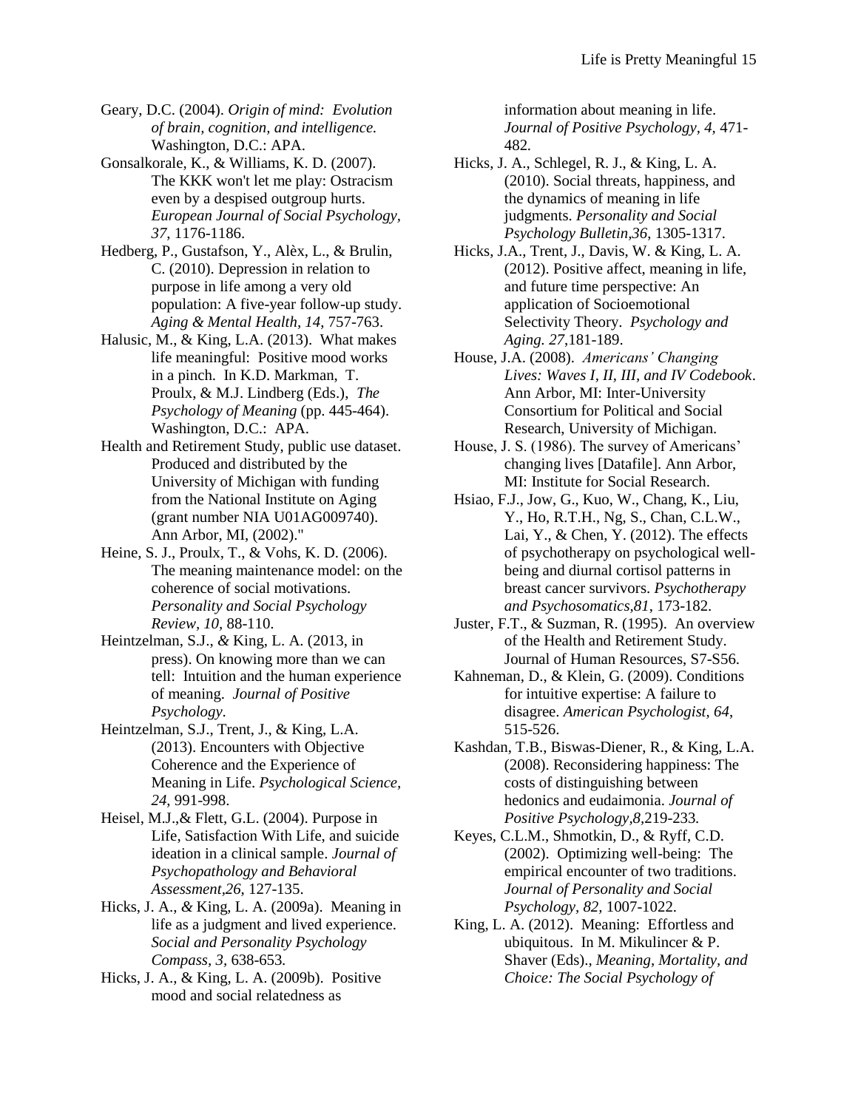Geary, D.C. (2004). *Origin of mind: Evolution of brain, cognition, and intelligence.*  Washington, D.C.: APA.

Gonsalkorale, K., & Williams, K. D. (2007). The KKK won't let me play: Ostracism even by a despised outgroup hurts. *European Journal of Social Psychology, 37*, 1176-1186.

Hedberg, P., Gustafson, Y., Alèx, L., & Brulin, C. (2010). Depression in relation to purpose in life among a very old population: A five-year follow-up study. *Aging & Mental Health, 14*, 757-763.

Halusic, M., & King, L.A. (2013). What makes life meaningful: Positive mood works in a pinch. In K.D. Markman, T. Proulx, & M.J. Lindberg (Eds.), *The Psychology of Meaning* (pp. 445-464). Washington, D.C.: APA.

Health and Retirement Study, public use dataset. Produced and distributed by the University of Michigan with funding from the National Institute on Aging (grant number NIA U01AG009740). Ann Arbor, MI, (2002)."

Heine, S. J., Proulx, T., & Vohs, K. D. (2006). The meaning maintenance model: on the coherence of social motivations. *Personality and Social Psychology Review, 10,* 88-110.

Heintzelman, S.J., *&* King, L. A. (2013, in press). On knowing more than we can tell: Intuition and the human experience of meaning. *Journal of Positive Psychology*.

Heintzelman, S.J., Trent, J., & King, L.A. (2013). Encounters with Objective Coherence and the Experience of Meaning in Life. *Psychological Science, 24*, 991-998.

Heisel, M.J.,& Flett, G.L. (2004). Purpose in Life, Satisfaction With Life, and suicide ideation in a clinical sample. *Journal of Psychopathology and Behavioral Assessment,26*, 127-135.

Hicks, J. A., *&* King, L. A. (2009a). Meaning in life as a judgment and lived experience. *Social and Personality Psychology Compass, 3,* 638-653*.* 

Hicks, J. A., & King, L. A. (2009b). Positive mood and social relatedness as

information about meaning in life. *Journal of Positive Psychology, 4,* 471- 482*.*

- Hicks, J. A., Schlegel, R. J., & King, L. A. (2010). Social threats, happiness, and the dynamics of meaning in life judgments. *Personality and Social Psychology Bulletin,36*, 1305-1317.
- Hicks, J.A., Trent, J., Davis, W. & King, L. A. (2012). Positive affect, meaning in life, and future time perspective: An application of Socioemotional Selectivity Theory. *Psychology and Aging. 27*,181-189.
- House, J.A. (2008). *Americans' Changing Lives: Waves I, II, III, and IV Codebook*. Ann Arbor, MI: Inter-University Consortium for Political and Social Research, University of Michigan.
- House, J. S. (1986). The survey of Americans' changing lives [Datafile]. Ann Arbor, MI: Institute for Social Research.
- Hsiao, F.J., Jow, G., Kuo, W., Chang, K., Liu, Y., Ho, R.T.H., Ng, S., Chan, C.L.W., Lai, Y., & Chen, Y. (2012). The effects of psychotherapy on psychological wellbeing and diurnal cortisol patterns in breast cancer survivors. *Psychotherapy and Psychosomatics,81*, 173-182.
- Juster, F.T., & Suzman, R. (1995). An overview of the Health and Retirement Study. Journal of Human Resources, S7-S56.
- Kahneman, D., & Klein, G. (2009). Conditions for intuitive expertise: A failure to disagree. *American Psychologist, 64*, 515-526.
- Kashdan, T.B., Biswas-Diener, R., & King, L.A. (2008). Reconsidering happiness: The costs of distinguishing between hedonics and eudaimonia. *Journal of Positive Psychology,8,*219-233*.*

Keyes, C.L.M., Shmotkin, D., & Ryff, C.D. (2002). Optimizing well-being: The empirical encounter of two traditions. *Journal of Personality and Social Psychology, 82,* 1007-1022.

King, L. A. (2012). Meaning: Effortless and ubiquitous. In M. Mikulincer & P. Shaver (Eds)., *Meaning, Mortality, and Choice: The Social Psychology of*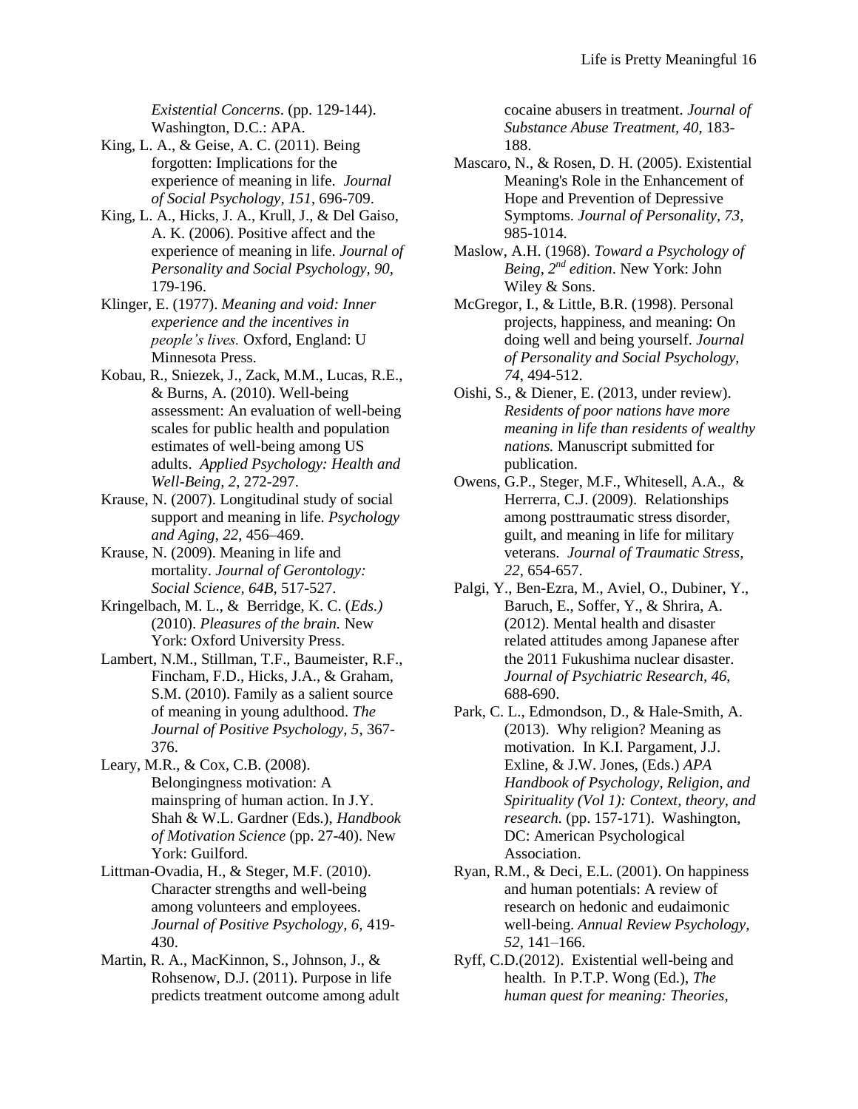*Existential Concerns*. (pp. 129-144). Washington, D.C.: APA.

- King, L. A., & Geise, A. C. (2011). Being forgotten: Implications for the experience of meaning in life. *Journal of Social Psychology, 151*, 696-709.
- King, L. A., Hicks, J. A., Krull, J., & Del Gaiso, A. K. (2006). Positive affect and the experience of meaning in life. *Journal of Personality and Social Psychology, 90,*  179-196.
- Klinger, E. (1977). *Meaning and void: Inner experience and the incentives in people's lives.* Oxford, England: U Minnesota Press.
- Kobau, R., Sniezek, J., Zack, M.M., Lucas, R.E., & Burns, A. (2010). Well-being assessment: An evaluation of well-being scales for public health and population estimates of well-being among US adults. *Applied Psychology: Health and Well-Being, 2*, 272-297.
- Krause, N. (2007). Longitudinal study of social support and meaning in life. *Psychology and Aging*, *22*, 456–469.
- Krause, N. (2009). Meaning in life and mortality. *Journal of Gerontology: Social Science, 64B,* 517-527.
- Kringelbach, M. L., & Berridge, K. C. (*Eds.)*  (2010). *Pleasures of the brain.* New York: Oxford University Press.
- Lambert, N.M., Stillman, T.F., Baumeister, R.F., Fincham, F.D., Hicks, J.A., & Graham, S.M. (2010). Family as a salient source of meaning in young adulthood. *The Journal of Positive Psychology, 5*, 367- 376.
- Leary, M.R., & Cox, C.B. (2008). Belongingness motivation: A mainspring of human action. In J.Y. Shah & W.L. Gardner (Eds.), *Handbook of Motivation Science* (pp. 27-40). New York: Guilford.
- Littman-Ovadia, H., & Steger, M.F. (2010). Character strengths and well-being among volunteers and employees. *Journal of Positive Psychology, 6,* 419- 430.
- Martin, R. A., MacKinnon, S., Johnson, J., & Rohsenow, D.J. (2011). Purpose in life predicts treatment outcome among adult

cocaine abusers in treatment. *Journal of Substance Abuse Treatment, 40*, 183- 188.

- Mascaro, N., & Rosen, D. H. (2005). Existential Meaning's Role in the Enhancement of Hope and Prevention of Depressive Symptoms. *Journal of Personality, 73*, 985-1014.
- Maslow, A.H. (1968). *Toward a Psychology of Being, 2nd edition*. New York: John Wiley & Sons.
- McGregor, I., & Little, B.R. (1998). Personal projects, happiness, and meaning: On doing well and being yourself. *Journal of Personality and Social Psychology, 74*, 494-512.
- Oishi, S., & Diener, E. (2013, under review). *Residents of poor nations have more meaning in life than residents of wealthy nations.* Manuscript submitted for publication.
- Owens, G.P., Steger, M.F., Whitesell, A.A., & Herrerra, C.J. (2009). Relationships among posttraumatic stress disorder, guilt, and meaning in life for military veterans. *Journal of Traumatic Stress, 22,* 654-657.
- Palgi, Y., Ben-Ezra, M., Aviel, O., Dubiner, Y., Baruch, E., Soffer, Y., & Shrira, A. (2012). Mental health and disaster related attitudes among Japanese after the 2011 Fukushima nuclear disaster. *Journal of Psychiatric Research, 46*, 688-690.
- Park, C. L., Edmondson, D., & Hale-Smith, A. (2013). Why religion? Meaning as motivation. In K.I. Pargament, J.J. Exline, & J.W. Jones, (Eds.) *APA Handbook of Psychology, Religion, and Spirituality (Vol 1): Context, theory, and research.* (pp. 157-171). Washington, DC: American Psychological Association.
- Ryan, R.M., & Deci, E.L. (2001). On happiness and human potentials: A review of research on hedonic and eudaimonic well-being. *Annual Review Psychology, 52*, 141–166.
- Ryff, C.D.(2012). Existential well-being and health. In P.T.P. Wong (Ed.), *The human quest for meaning: Theories,*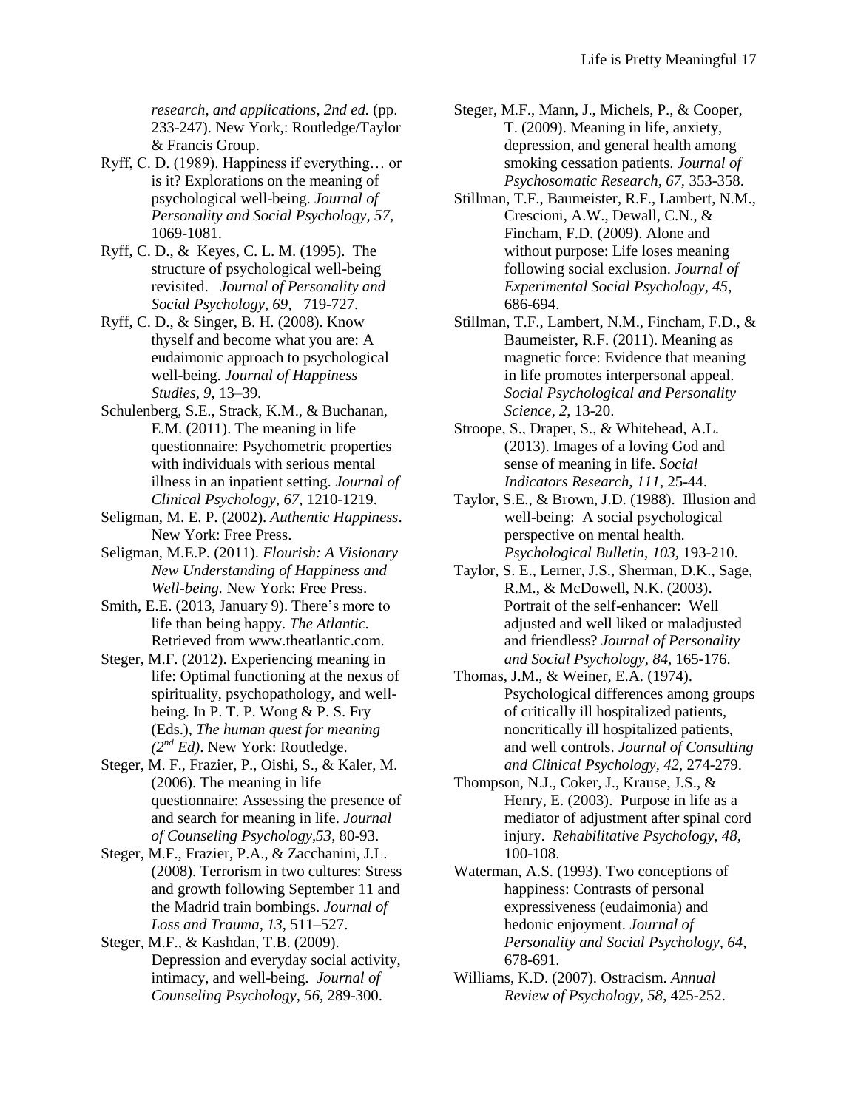*research, and applications, 2nd ed.* (pp. 233-247). New York,: Routledge/Taylor & Francis Group.

- Ryff, C. D. (1989). Happiness if everything… or is it? Explorations on the meaning of psychological well-being. *Journal of Personality and Social Psychology, 57,*  1069-1081.
- Ryff, C. D., & Keyes, C. L. M. (1995). The structure of psychological well-being revisited. *Journal of Personality and Social Psychology, 69*, 719-727.

Ryff, C. D., & Singer, B. H. (2008). Know thyself and become what you are: A eudaimonic approach to psychological well-being. *Journal of Happiness Studies, 9*, 13–39.

- Schulenberg, S.E., Strack, K.M., & Buchanan, E.M. (2011). The meaning in life questionnaire: Psychometric properties with individuals with serious mental illness in an inpatient setting. *Journal of Clinical Psychology, 67,* 1210-1219.
- Seligman, M. E. P. (2002). *Authentic Happiness*. New York: Free Press.

Seligman, M.E.P. (2011). *Flourish: A Visionary New Understanding of Happiness and Well-being.* New York: Free Press.

- Smith, E.E. (2013, January 9). There's more to life than being happy. *The Atlantic.* Retrieved from www.theatlantic.com.
- Steger, M.F. (2012). Experiencing meaning in life: Optimal functioning at the nexus of spirituality, psychopathology, and wellbeing. In P. T. P. Wong & P. S. Fry (Eds.), *The human quest for meaning (2nd Ed)*. New York: Routledge.
- Steger, M. F., Frazier, P., Oishi, S., & Kaler, M. (2006). The meaning in life questionnaire: Assessing the presence of and search for meaning in life. *Journal of Counseling Psychology,53*, 80-93.
- Steger, M.F., Frazier, P.A., & Zacchanini, J.L. (2008). Terrorism in two cultures: Stress and growth following September 11 and the Madrid train bombings. *Journal of Loss and Trauma, 13*, 511–527.
- Steger, M.F., & Kashdan, T.B. (2009). Depression and everyday social activity, intimacy, and well-being. *Journal of Counseling Psychology, 56*, 289-300.
- Steger, M.F., Mann, J., Michels, P., & Cooper, T. (2009). Meaning in life, anxiety, depression, and general health among smoking cessation patients. *Journal of Psychosomatic Research, 67,* 353-358.
- Stillman, T.F., Baumeister, R.F., Lambert, N.M., Crescioni, A.W., Dewall, C.N., & Fincham, F.D. (2009). Alone and without purpose: Life loses meaning following social exclusion. *Journal of Experimental Social Psychology, 45*, 686-694.
- Stillman, T.F., Lambert, N.M., Fincham, F.D., & Baumeister, R.F. (2011). Meaning as magnetic force: Evidence that meaning in life promotes interpersonal appeal. *Social Psychological and Personality Science, 2*, 13-20.
- Stroope, S., Draper, S., & Whitehead, A.L. (2013). Images of a loving God and sense of meaning in life. *Social Indicators Research, 111*, 25-44.
- Taylor, S.E., & Brown, J.D. (1988). Illusion and well-being: A social psychological perspective on mental health. *Psychological Bulletin, 103,* 193-210.
- Taylor, S. E., Lerner, J.S., Sherman, D.K., Sage, R.M., & McDowell, N.K. (2003). Portrait of the self-enhancer: Well adjusted and well liked or maladjusted and friendless? *Journal of Personality and Social Psychology, 84,* 165-176.
- Thomas, J.M., & Weiner, E.A. (1974). [Psychological differences among groups](http://ehis.ebscohost.com/ehost/viewarticle?data=dGJyMPPp44rp2%2fdV0%2bnjisfk5Ie46bZMsay0TLGk63nn5Kx95uXxjL6nsEevpq1KrqewOK%2bwrkm4qrc4zsOkjPDX7Ivf2fKB7eTnfLuntlGyrLZJtq23PurX7H%2b72%2bw%2b4ti7iPHv5j7y1%2bVVv8Skeeyzr1G1qqtKtqexTqumrkmk3O2K69fyVeTr6oTy2%2faM&hid=27)  [of critically ill hospitalized patients,](http://ehis.ebscohost.com/ehost/viewarticle?data=dGJyMPPp44rp2%2fdV0%2bnjisfk5Ie46bZMsay0TLGk63nn5Kx95uXxjL6nsEevpq1KrqewOK%2bwrkm4qrc4zsOkjPDX7Ivf2fKB7eTnfLuntlGyrLZJtq23PurX7H%2b72%2bw%2b4ti7iPHv5j7y1%2bVVv8Skeeyzr1G1qqtKtqexTqumrkmk3O2K69fyVeTr6oTy2%2faM&hid=27)  [noncritically ill hospitalized patients,](http://ehis.ebscohost.com/ehost/viewarticle?data=dGJyMPPp44rp2%2fdV0%2bnjisfk5Ie46bZMsay0TLGk63nn5Kx95uXxjL6nsEevpq1KrqewOK%2bwrkm4qrc4zsOkjPDX7Ivf2fKB7eTnfLuntlGyrLZJtq23PurX7H%2b72%2bw%2b4ti7iPHv5j7y1%2bVVv8Skeeyzr1G1qqtKtqexTqumrkmk3O2K69fyVeTr6oTy2%2faM&hid=27)  [and well controls.](http://ehis.ebscohost.com/ehost/viewarticle?data=dGJyMPPp44rp2%2fdV0%2bnjisfk5Ie46bZMsay0TLGk63nn5Kx95uXxjL6nsEevpq1KrqewOK%2bwrkm4qrc4zsOkjPDX7Ivf2fKB7eTnfLuntlGyrLZJtq23PurX7H%2b72%2bw%2b4ti7iPHv5j7y1%2bVVv8Skeeyzr1G1qqtKtqexTqumrkmk3O2K69fyVeTr6oTy2%2faM&hid=27) *Journal of Consulting and Clinical Psychology, 42*, 274-279.
- Thompson, N.J., Coker, J., Krause, J.S., & Henry, E. (2003). Purpose in life as a mediator of adjustment after spinal cord injury. *Rehabilitative Psychology, 48,*  100-108.
- Waterman, A.S. (1993). Two conceptions of happiness: Contrasts of personal expressiveness (eudaimonia) and hedonic enjoyment. *Journal of Personality and Social Psychology, 64,* 678-691.
- Williams, K.D. (2007). Ostracism. *Annual Review of Psychology, 58*, 425-252.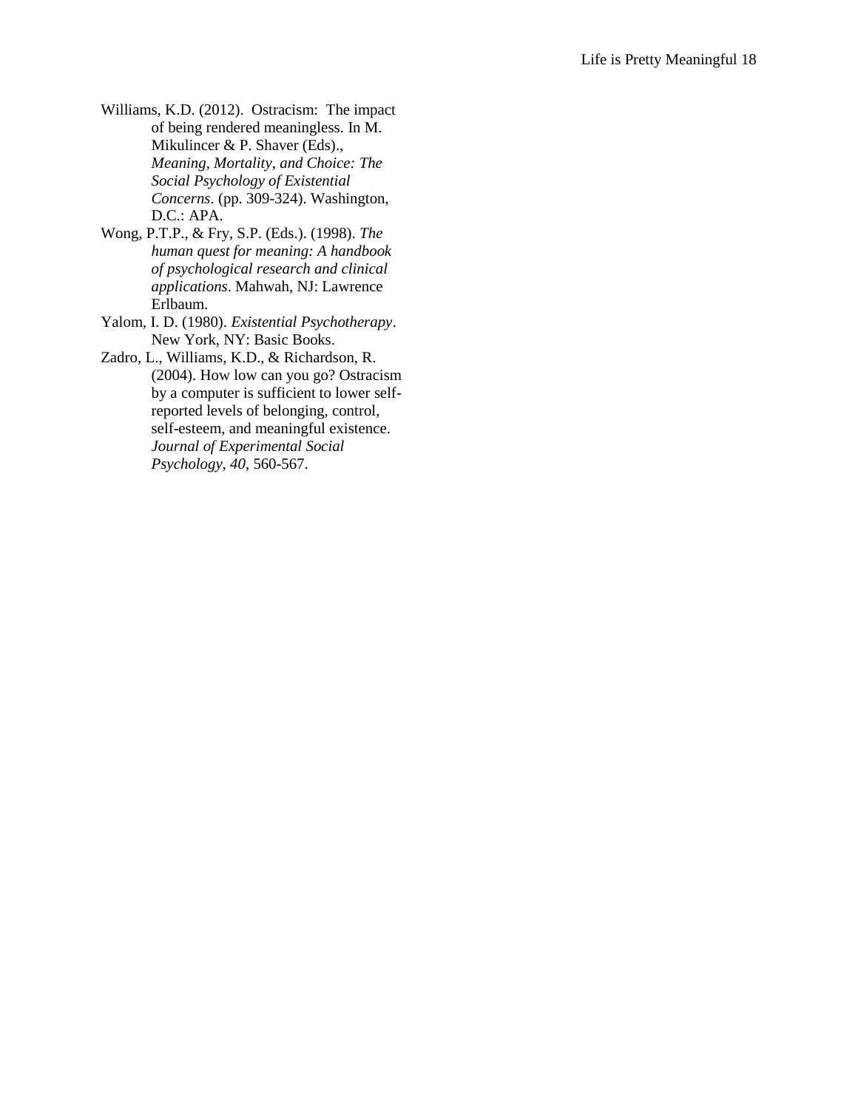- Williams, K.D. (2012). Ostracism: The impact of being rendered meaningless. In M. Mikulincer & P. Shaver (Eds)., *Meaning, Mortality, and Choice: The Social Psychology of Existential Concerns*. (pp. 309-324). Washington, D.C.: APA.
- Wong, P.T.P., & Fry, S.P. (Eds.). (1998). *The human quest for meaning: A handbook of psychological research and clinical applications*. Mahwah, NJ: Lawrence Erlbaum.
- Yalom, I. D. (1980). *Existential Psychotherapy*. New York, NY: Basic Books.
- Zadro, L., Williams, K.D., & Richardson, R. (2004). How low can you go? Ostracism by a computer is sufficient to lower selfreported levels of belonging, control, self-esteem, and meaningful existence. *Journal of Experimental Social Psychology, 40*, 560-567.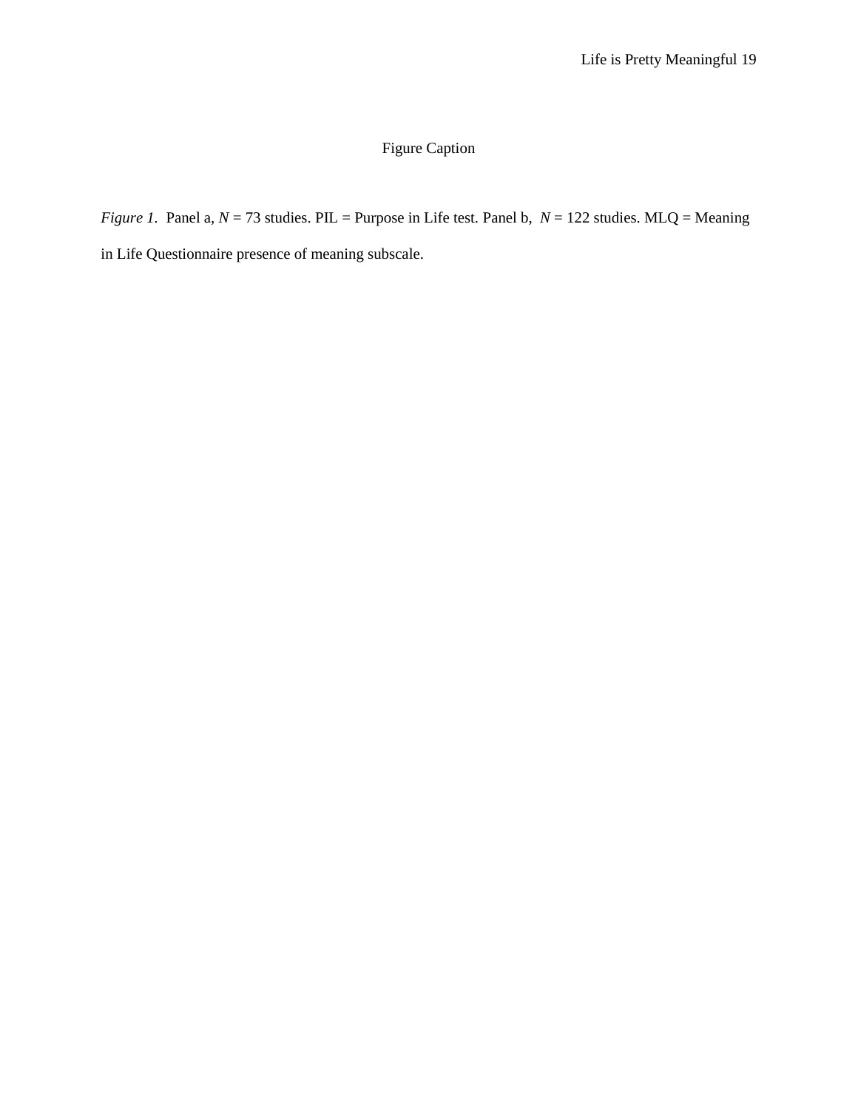## Figure Caption

*Figure 1.* Panel a,  $N = 73$  studies. PIL = Purpose in Life test. Panel b,  $N = 122$  studies. MLQ = Meaning in Life Questionnaire presence of meaning subscale.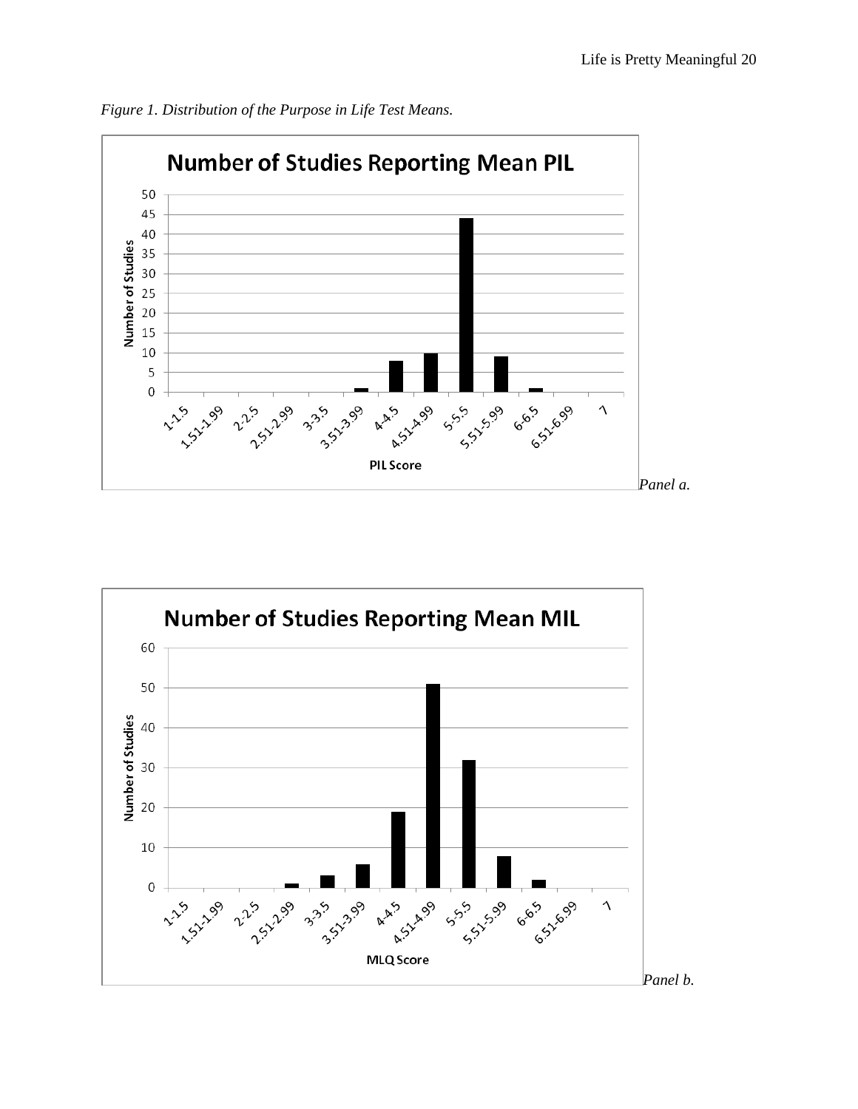

*Figure 1. Distribution of the Purpose in Life Test Means.*

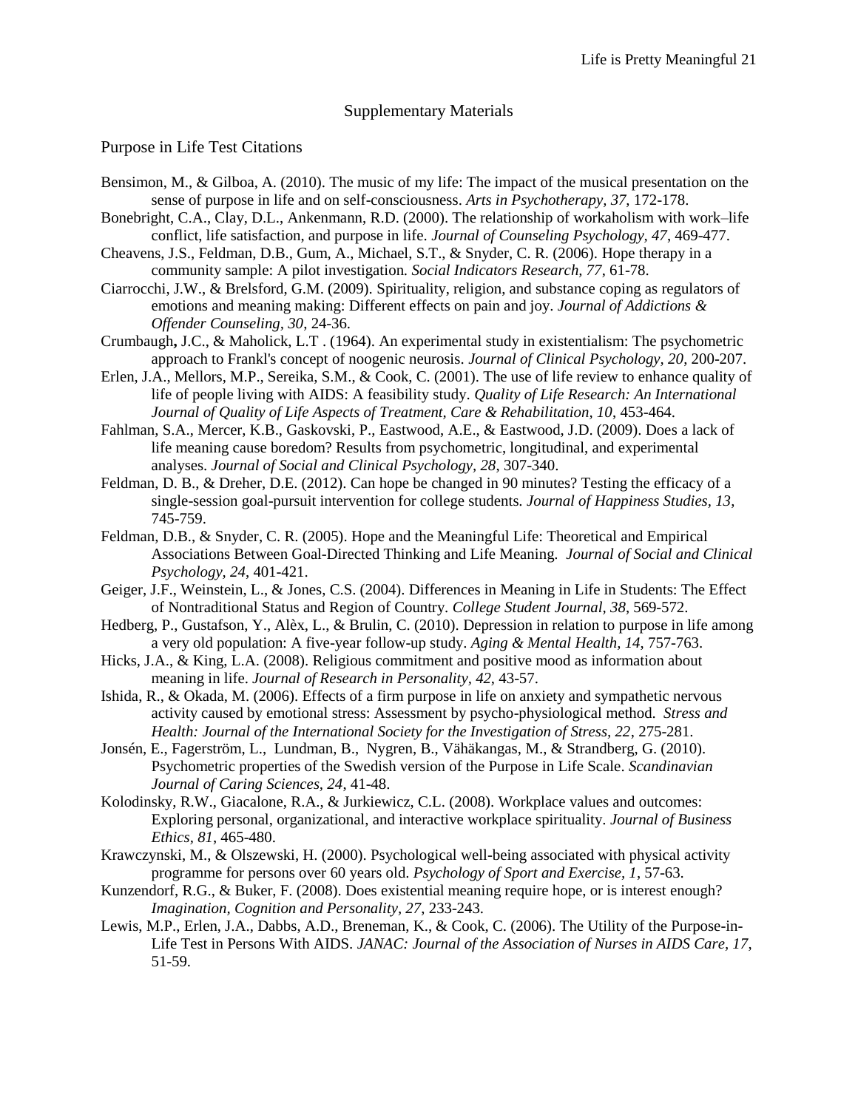## Supplementary Materials

Purpose in Life Test Citations

- Bensimon, M., & Gilboa, A. (2010). The music of my life: The impact of the musical presentation on the sense of purpose in life and on self-consciousness. *Arts in Psychotherapy, 37*, 172-178.
- Bonebright, C.A., Clay, D.L., Ankenmann, R.D. (2000). [The relationship of workaholism with work–life](http://ehis.ebscohost.com/ehost/viewarticle?data=dGJyMPPp44rp2%2fdV0%2bnjisfk5Ie46bZMsay0TLGk63nn5Kx95uXxjL6nsEevpq1KrqewOK%2bwrkm4qrc4zsOkjPDX7Ivf2fKB7eTnfLuntlGyrLZJtq23PurX7H%2b72%2bw%2b4ti7iPHv5j7y1%2bVVv8SkeeyzsEiupqtIsKqySqumrk%2bk3O2K69fyVeTr6oTy2%2faM&hid=27)  conflict, life [satisfaction, and purpose in life.](http://ehis.ebscohost.com/ehost/viewarticle?data=dGJyMPPp44rp2%2fdV0%2bnjisfk5Ie46bZMsay0TLGk63nn5Kx95uXxjL6nsEevpq1KrqewOK%2bwrkm4qrc4zsOkjPDX7Ivf2fKB7eTnfLuntlGyrLZJtq23PurX7H%2b72%2bw%2b4ti7iPHv5j7y1%2bVVv8SkeeyzsEiupqtIsKqySqumrk%2bk3O2K69fyVeTr6oTy2%2faM&hid=27) *Journal of Counseling Psychology, 47*, 469-477.
- Cheavens, J.S., Feldman, D.B., Gum, A., Michael, S.T., & Snyder, C. R. (2006). [Hope therapy in a](http://ehis.ebscohost.com/ehost/viewarticle?data=dGJyMPPp44rp2%2fdV0%2bnjisfk5Ie46bZMsay0TLGk63nn5Kx95uXxjL6nsEevpq1KrqewOK%2bwrkm4qrc4zsOkjPDX7Ivf2fKB7eTnfLuntlGyrLZJtq23PurX7H%2b72%2bw%2b4ti7iPHv5j7y1%2bVVv8SkeeyzsEiurKtItqe3S6umrkyk3O2K69fyVeTr6oTy2%2faM&hid=27)  [community sample: A pilot investigation.](http://ehis.ebscohost.com/ehost/viewarticle?data=dGJyMPPp44rp2%2fdV0%2bnjisfk5Ie46bZMsay0TLGk63nn5Kx95uXxjL6nsEevpq1KrqewOK%2bwrkm4qrc4zsOkjPDX7Ivf2fKB7eTnfLuntlGyrLZJtq23PurX7H%2b72%2bw%2b4ti7iPHv5j7y1%2bVVv8SkeeyzsEiurKtItqe3S6umrkyk3O2K69fyVeTr6oTy2%2faM&hid=27) *Social Indicators Research, 77*, 61-78.
- Ciarrocchi, J.W., & Brelsford, G.M. (2009). Spirituality, religion, and substance coping as regulators of emotions and meaning making: Different effects on pain and joy. *Journal of Addictions & Offender Counseling, 30*, 24-36.
- Crumbaugh**,** J.C., & Maholick, L.T . (1964). An experimental study in existentialism: The psychometric approach to Frankl's concept of noogenic neurosis. *Journal of Clinical Psychology, 20*, 200-207.
- Erlen, J.A., Mellors, M.P., Sereika, S.M., & Cook, C. (2001). [The use of life review to enhance quality of](http://ehis.ebscohost.com/ehost/viewarticle?data=dGJyMPPp44rp2%2fdV0%2bnjisfk5Ie46bZMsay0TLGk63nn5Kx95uXxjL6nsEevpq1KrqewOK%2bwrkm4qrc4zsOkjPDX7Ivf2fKB7eTnfLuntlGyrLZJtq23PurX7H%2b72%2bw%2b4ti7iPHv5j7y1%2bVVv8SkeeyzsEiup6tIt62yUKumrk%2bk3O2K69fyVeTr6oTy2%2faM&hid=27)  [life of people living with AIDS: A feasibility study.](http://ehis.ebscohost.com/ehost/viewarticle?data=dGJyMPPp44rp2%2fdV0%2bnjisfk5Ie46bZMsay0TLGk63nn5Kx95uXxjL6nsEevpq1KrqewOK%2bwrkm4qrc4zsOkjPDX7Ivf2fKB7eTnfLuntlGyrLZJtq23PurX7H%2b72%2bw%2b4ti7iPHv5j7y1%2bVVv8SkeeyzsEiup6tIt62yUKumrk%2bk3O2K69fyVeTr6oTy2%2faM&hid=27) *Quality of Life Research: An International Journal of Quality of Life Aspects of Treatment, Care & Rehabilitation, 10*, 453-464.
- Fahlman, S.A., Mercer, K.B., Gaskovski, P., Eastwood, A.E., & Eastwood, J.D. (2009). Does a lack of life meaning cause boredom? Results from psychometric, longitudinal, and experimental analyses. *Journal of Social and Clinical Psychology, 28*, 307-340.
- Feldman, D. B., & Dreher, D.E. (2012). Can hope be changed in 90 minutes? Testing the efficacy of a single-session goal-pursuit intervention for college students. *Journal of Happiness Studies, 13*, 745-759.
- Feldman, D.B., & Snyder, C. R. (2005)[. Hope and the Meaningful Life: Theoretical and Empirical](http://ehis.ebscohost.com/ehost/viewarticle?data=dGJyMPPp44rp2%2fdV0%2bnjisfk5Ie46bZMsay0TLGk63nn5Kx95uXxjL6nsEevpq1KrqewOK%2bwrkm4qrc4zsOkjPDX7Ivf2fKB7eTnfLuntlGyrLZJtq23PurX7H%2b72%2bw%2b4ti7iPHv5j7y1%2bVVv8SkeeyzsEiuq6tIs6%2bzTqumrk%2bk3O2K69fyVeTr6oTy2%2faM&hid=27)  [Associations Between Goal-Directed Thinking and Life Meaning.](http://ehis.ebscohost.com/ehost/viewarticle?data=dGJyMPPp44rp2%2fdV0%2bnjisfk5Ie46bZMsay0TLGk63nn5Kx95uXxjL6nsEevpq1KrqewOK%2bwrkm4qrc4zsOkjPDX7Ivf2fKB7eTnfLuntlGyrLZJtq23PurX7H%2b72%2bw%2b4ti7iPHv5j7y1%2bVVv8SkeeyzsEiuq6tIs6%2bzTqumrk%2bk3O2K69fyVeTr6oTy2%2faM&hid=27) *Journal of Social and Clinical Psychology, 24*, 401-421.
- Geiger, J.F., Weinstein, L., & Jones, C.S. (2004)[. Differences in Meaning in Life in Students: The Effect](http://ehis.ebscohost.com/ehost/viewarticle?data=dGJyMPPp44rp2%2fdV0%2bnjisfk5Ie46bZMsay0TLGk63nn5Kx95uXxjL6nsEevpq1KrqewOK%2bwrkm4qrc4zsOkjPDX7Ivf2fKB7eTnfLuntlGyrLZJtq23PurX7H%2b72%2bw%2b4ti7iPHv5j7y1%2bVVv8SkeeyzsEiuqqtKsKq1SKumrlCk3O2K69fyVeTr6oTy2%2faM&hid=27)  [of Nontraditional Status and Region of Country.](http://ehis.ebscohost.com/ehost/viewarticle?data=dGJyMPPp44rp2%2fdV0%2bnjisfk5Ie46bZMsay0TLGk63nn5Kx95uXxjL6nsEevpq1KrqewOK%2bwrkm4qrc4zsOkjPDX7Ivf2fKB7eTnfLuntlGyrLZJtq23PurX7H%2b72%2bw%2b4ti7iPHv5j7y1%2bVVv8SkeeyzsEiuqqtKsKq1SKumrlCk3O2K69fyVeTr6oTy2%2faM&hid=27) *College Student Journal, 38*, 569-572.
- Hedberg, P., Gustafson, Y., Alèx, L., & Brulin, C. (2010). Depression in relation to purpose in life among a very old population: A five-year follow-up study. *Aging & Mental Health, 14*, 757-763.
- Hicks, J.A., & King, L.A. (2008). [Religious commitment and positive mood as information about](http://ehis.ebscohost.com/ehost/viewarticle?data=dGJyMPPp44rp2%2fdV0%2bnjisfk5Ie46bZMsay0TLGk63nn5Kx95uXxjL6nsEevpq1KrqewOK%2bwrkm4qrc4zsOkjPDX7Ivf2fKB7eTnfLuntlGyrLZJtq23PurX7H%2b72%2bw%2b4ti7iPHv5j7y1%2bVVv8SkeeyzsEiurqtIsaauTaumrk2k3O2K69fyVeTr6oTy2%2faM&hid=27)  [meaning in life.](http://ehis.ebscohost.com/ehost/viewarticle?data=dGJyMPPp44rp2%2fdV0%2bnjisfk5Ie46bZMsay0TLGk63nn5Kx95uXxjL6nsEevpq1KrqewOK%2bwrkm4qrc4zsOkjPDX7Ivf2fKB7eTnfLuntlGyrLZJtq23PurX7H%2b72%2bw%2b4ti7iPHv5j7y1%2bVVv8SkeeyzsEiurqtIsaauTaumrk2k3O2K69fyVeTr6oTy2%2faM&hid=27) *Journal of Research in Personality, 42*, 43-57.
- Ishida, R., & Okada, M. (2006). [Effects of a firm purpose in life on anxiety and sympathetic nervous](http://ehis.ebscohost.com/ehost/viewarticle?data=dGJyMPPp44rp2%2fdV0%2bnjisfk5Ie46bZMsay0TLGk63nn5Kx95uXxjL6nsEevpq1KrqewOK%2bwrkm4qrc4zsOkjPDX7Ivf2fKB7eTnfLuntlGyrLZJtq23PurX7H%2b72%2bw%2b4ti7iPHv5j7y1%2bVVv8SkeeyzsEiurKtKr6iyS6umrlCk3O2K69fyVeTr6oTy2%2faM&hid=27)  [activity caused by emotional stress: Assessment by psycho-physiological method.](http://ehis.ebscohost.com/ehost/viewarticle?data=dGJyMPPp44rp2%2fdV0%2bnjisfk5Ie46bZMsay0TLGk63nn5Kx95uXxjL6nsEevpq1KrqewOK%2bwrkm4qrc4zsOkjPDX7Ivf2fKB7eTnfLuntlGyrLZJtq23PurX7H%2b72%2bw%2b4ti7iPHv5j7y1%2bVVv8SkeeyzsEiurKtKr6iyS6umrlCk3O2K69fyVeTr6oTy2%2faM&hid=27) *Stress and Health: Journal of the International Society for the Investigation of Stress, 22*, 275-281.
- Jonsén, E., Fagerström, L., Lundman, B., Nygren, B., Vähäkangas, M., & Strandberg, G. (2010). Psychometric properties of the Swedish version of the Purpose in Life Scale. *Scandinavian Journal of Caring Sciences, 24*, 41-48.
- Kolodinsky, R.W., Giacalone, R.A., & Jurkiewicz, C.L. (2008). Workplace values and outcomes: Exploring personal, organizational, and interactive workplace spirituality. *Journal of Business Ethics, 81*, 465-480.
- Krawczynski, M., & Olszewski, H. (2000). Psychological well-being associated with physical activity programme for persons over 60 years old. *Psychology of Sport and Exercise, 1*, 57-63.
- Kunzendorf, R.G., & Buker, F. (2008). [Does existential meaning require hope, or is interest enough?](http://ehis.ebscohost.com/ehost/viewarticle?data=dGJyMPPp44rp2%2fdV0%2bnjisfk5Ie46bZMsay0TLGk63nn5Kx95uXxjL6nsEevpq1KrqewOK%2bwrkm4qrc4zsOkjPDX7Ivf2fKB7eTnfLuntlGyrLZJtq23PurX7H%2b72%2bw%2b4ti7iPHv5j7y1%2bVVv8SkeeyzsEiurqtItqaxS6umrkqk3O2K69fyVeTr6oTy2%2faM&hid=27) *Imagination, Cognition and Personality, 27*, 233-243.
- Lewis, M.P., Erlen, J.A., Dabbs, A.D., Breneman, K., & Cook, C. (2006). [The Utility of the Purpose-in-](http://ehis.ebscohost.com/ehost/viewarticle?data=dGJyMPPp44rp2%2fdV0%2bnjisfk5Ie46bZMsay0TLGk63nn5Kx95uXxjL6nsEevpq1KrqewOK%2bwrkm4qrc4zsOkjPDX7Ivf2fKB7eTnfLuntlGyrLZJtq23PurX7H%2b72%2bw%2b4ti7iPHv5j7y1%2bVVv8SkeeyzsEiurKtIr62vTqumrkyk3O2K69fyVeTr6oTy2%2faM&hid=27)[Life Test in Persons With AIDS.](http://ehis.ebscohost.com/ehost/viewarticle?data=dGJyMPPp44rp2%2fdV0%2bnjisfk5Ie46bZMsay0TLGk63nn5Kx95uXxjL6nsEevpq1KrqewOK%2bwrkm4qrc4zsOkjPDX7Ivf2fKB7eTnfLuntlGyrLZJtq23PurX7H%2b72%2bw%2b4ti7iPHv5j7y1%2bVVv8SkeeyzsEiurKtIr62vTqumrkyk3O2K69fyVeTr6oTy2%2faM&hid=27) *JANAC: Journal of the Association of Nurses in AIDS Care, 17*, 51-59.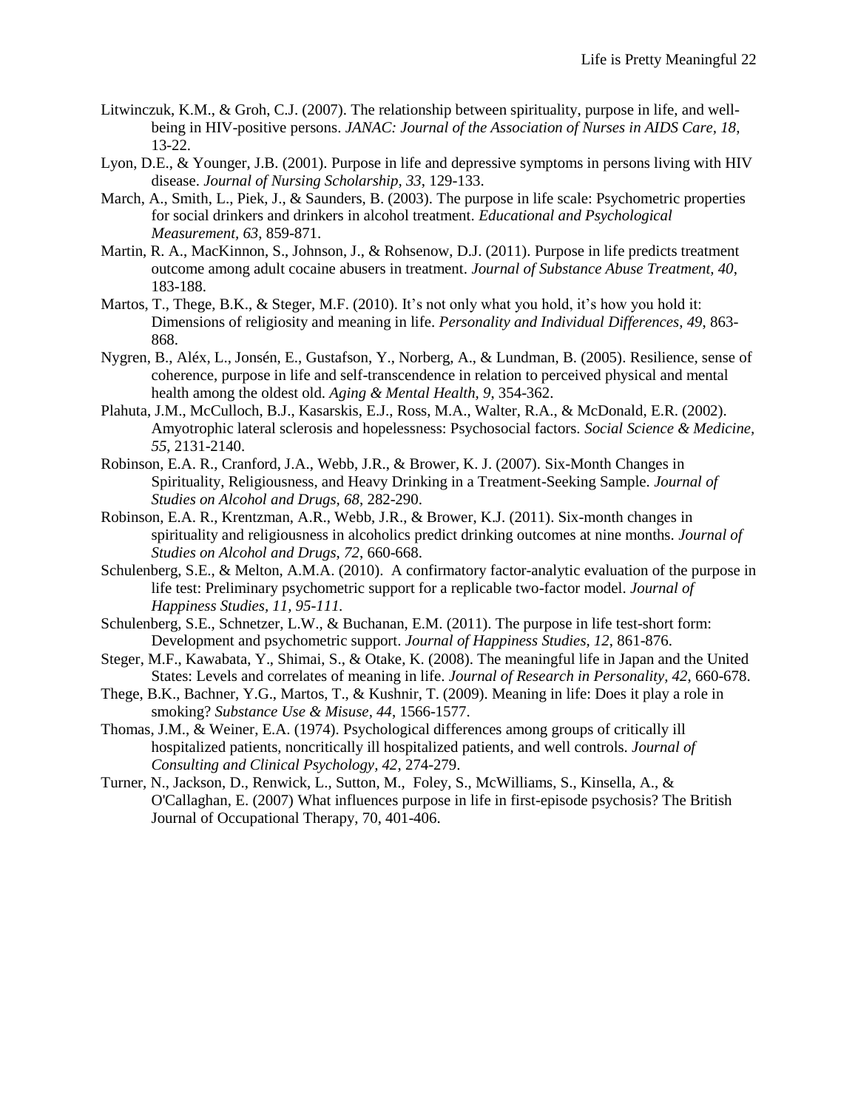- Litwinczuk, K.M., & Groh, C.J. (2007). [The relationship between spirituality, purpose in life, and well](http://ehis.ebscohost.com/ehost/viewarticle?data=dGJyMPPp44rp2%2fdV0%2bnjisfk5Ie46bZMsay0TLGk63nn5Kx95uXxjL6nsEevpq1KrqewOK%2bwrkm4qrc4zsOkjPDX7Ivf2fKB7eTnfLuntlGyrLZJtq23PurX7H%2b72%2bw%2b4ti7iPHv5j7y1%2bVVv8SkeeyzsEiuratIt6uvTaumrkqk3O2K69fyVeTr6oTy2%2faM&hid=27)[being in HIV-positive persons.](http://ehis.ebscohost.com/ehost/viewarticle?data=dGJyMPPp44rp2%2fdV0%2bnjisfk5Ie46bZMsay0TLGk63nn5Kx95uXxjL6nsEevpq1KrqewOK%2bwrkm4qrc4zsOkjPDX7Ivf2fKB7eTnfLuntlGyrLZJtq23PurX7H%2b72%2bw%2b4ti7iPHv5j7y1%2bVVv8SkeeyzsEiuratIt6uvTaumrkqk3O2K69fyVeTr6oTy2%2faM&hid=27) *JANAC: Journal of the Association of Nurses in AIDS Care, 18*, 13-22.
- Lyon, D.E., & Younger, J.B. (2001). [Purpose in life and depressive symptoms in persons living with HIV](http://ehis.ebscohost.com/ehost/viewarticle?data=dGJyMPPp44rp2%2fdV0%2bnjisfk5Ie46bZMsay0TLGk63nn5Kx95uXxjL6nsEevpq1KrqewOK%2bwrkm4qrc4zsOkjPDX7Ivf2fKB7eTnfLuntlGyrLZJtq23PurX7H%2b72%2bw%2b4ti7iPHv5j7y1%2bVVv8SkeeyzsEiup6tIr6ezSaumrkmk3O2K69fyVeTr6oTy2%2faM&hid=27)  [disease.](http://ehis.ebscohost.com/ehost/viewarticle?data=dGJyMPPp44rp2%2fdV0%2bnjisfk5Ie46bZMsay0TLGk63nn5Kx95uXxjL6nsEevpq1KrqewOK%2bwrkm4qrc4zsOkjPDX7Ivf2fKB7eTnfLuntlGyrLZJtq23PurX7H%2b72%2bw%2b4ti7iPHv5j7y1%2bVVv8SkeeyzsEiup6tIr6ezSaumrkmk3O2K69fyVeTr6oTy2%2faM&hid=27) *Journal of Nursing Scholarship, 33*, 129-133.
- March, A., Smith, L., Piek, J., & Saunders, B. (2003). [The purpose in life scale: Psychometric properties](http://ehis.ebscohost.com/ehost/viewarticle?data=dGJyMPPp44rp2%2fdV0%2bnjisfk5Ie46bZMsay0TLGk63nn5Kx95uXxjL6nsEevpq1KrqewOK%2bwrkm4qrc4zsOkjPDX7Ivf2fKB7eTnfLuntlGyrLZJtq23PurX7H%2b72%2bw%2b4ti7iPHv5j7y1%2bVVv8SkeeyzsEiuqatItquuSqumrlCk3O2K69fyVeTr6oTy2%2faM&hid=27)  [for social drinkers and drinkers in alcohol treatment.](http://ehis.ebscohost.com/ehost/viewarticle?data=dGJyMPPp44rp2%2fdV0%2bnjisfk5Ie46bZMsay0TLGk63nn5Kx95uXxjL6nsEevpq1KrqewOK%2bwrkm4qrc4zsOkjPDX7Ivf2fKB7eTnfLuntlGyrLZJtq23PurX7H%2b72%2bw%2b4ti7iPHv5j7y1%2bVVv8SkeeyzsEiuqatItquuSqumrlCk3O2K69fyVeTr6oTy2%2faM&hid=27) *Educational and Psychological Measurement, 63*, 859-871.
- Martin, R. A., MacKinnon, S., Johnson, J., & Rohsenow, D.J. (2011). Purpose in life predicts treatment outcome among adult cocaine abusers in treatment. *Journal of Substance Abuse Treatment, 40*, 183-188.
- Martos, T., Thege, B.K., & Steger, M.F. (2010). It's not only what you hold, it's how you hold it: Dimensions of religiosity and meaning in life. *Personality and Individual Differences, 49*, 863- 868.
- Nygren, B., Aléx, L., Jonsén, E., Gustafson, Y., Norberg, A., & Lundman, B. (2005). [Resilience, sense of](http://ehis.ebscohost.com/ehost/viewarticle?data=dGJyMPPp44rp2%2fdV0%2bnjisfk5Ie46bZMsay0TLGk63nn5Kx95uXxjL6nsEevpq1KrqewOK%2bwrkm4qrc4zsOkjPDX7Ivf2fKB7eTnfLuntlGyrLZJtq23PurX7H%2b72%2bw%2b4ti7iPHv5j7y1%2bVVv8SkeeyzsEiuq6tItK62Taumr0ik3O2K69fyVeTr6oTy2%2faM&hid=27)  [coherence, purpose in life and self-transcendence in relation to perceived physical and mental](http://ehis.ebscohost.com/ehost/viewarticle?data=dGJyMPPp44rp2%2fdV0%2bnjisfk5Ie46bZMsay0TLGk63nn5Kx95uXxjL6nsEevpq1KrqewOK%2bwrkm4qrc4zsOkjPDX7Ivf2fKB7eTnfLuntlGyrLZJtq23PurX7H%2b72%2bw%2b4ti7iPHv5j7y1%2bVVv8SkeeyzsEiuq6tItK62Taumr0ik3O2K69fyVeTr6oTy2%2faM&hid=27)  health [among the oldest old.](http://ehis.ebscohost.com/ehost/viewarticle?data=dGJyMPPp44rp2%2fdV0%2bnjisfk5Ie46bZMsay0TLGk63nn5Kx95uXxjL6nsEevpq1KrqewOK%2bwrkm4qrc4zsOkjPDX7Ivf2fKB7eTnfLuntlGyrLZJtq23PurX7H%2b72%2bw%2b4ti7iPHv5j7y1%2bVVv8SkeeyzsEiuq6tItK62Taumr0ik3O2K69fyVeTr6oTy2%2faM&hid=27) *Aging & Mental Health, 9*, 354-362.
- Plahuta, J.M., McCulloch, B.J., Kasarskis, E.J., Ross, M.A., Walter, R.A., & McDonald, E.R. (2002). [Amyotrophic lateral sclerosis and hopelessness: Psychosocial factors.](http://ehis.ebscohost.com/ehost/viewarticle?data=dGJyMPPp44rp2%2fdV0%2bnjisfk5Ie46bZMsay0TLGk63nn5Kx95uXxjL6nsEevpq1KrqewOK%2bwrkm4qrc4zsOkjPDX7Ivf2fKB7eTnfLuntlGyrLZJtq23PurX7H%2b72%2bw%2b4ti7iPHv5j7y1%2bVVv8SkeeyzsEiuqKtItqmvSqumrkqk3O2K69fyVeTr6oTy2%2faM&hid=27) *Social Science & Medicine, 55*, 2131-2140.
- Robinson, E.A. R., Cranford, J.A., Webb, J.R., & Brower, K. J. (2007). [Six-Month Changes in](http://ehis.ebscohost.com/ehost/viewarticle?data=dGJyMPPp44rp2%2fdV0%2bnjisfk5Ie46bZMsay0TLGk63nn5Kx95uXxjL6nsEevpq1KrqewOK%2bwrkm4qrc4zsOkjPDX7Ivf2fKB7eTnfLuntlGyrLZJtq23PurX7H%2b72%2bw%2b4ti7iPHv5j7y1%2bVVv8SkeeyzsEiuratIsK%2bxTKumr0yk3O2K69fyVeTr6oTy2%2faM&hid=27)  [Spirituality, Religiousness, and Heavy Drinking in a Treatment-Seeking Sample.](http://ehis.ebscohost.com/ehost/viewarticle?data=dGJyMPPp44rp2%2fdV0%2bnjisfk5Ie46bZMsay0TLGk63nn5Kx95uXxjL6nsEevpq1KrqewOK%2bwrkm4qrc4zsOkjPDX7Ivf2fKB7eTnfLuntlGyrLZJtq23PurX7H%2b72%2bw%2b4ti7iPHv5j7y1%2bVVv8SkeeyzsEiuratIsK%2bxTKumr0yk3O2K69fyVeTr6oTy2%2faM&hid=27) *Journal of Studies on Alcohol and Drugs, 68*, 282-290.
- Robinson, E.A. R., Krentzman, A.R., Webb, J.R., & Brower, K.J. (2011). Six-month changes in spirituality and religiousness in alcoholics predict drinking outcomes at nine months. *Journal of Studies on Alcohol and Drugs, 72*, 660-668.
- Schulenberg, S.E., & Melton, A.M.A. (2010). A confirmatory factor-analytic evaluation of the purpose in life test: Preliminary psychometric support for a replicable two-factor model. *Journal of Happiness Studies, 11, 95-111.*
- Schulenberg, S.E., Schnetzer, L.W., & Buchanan, E.M. (2011). The purpose in life test-short form: Development and psychometric support. *Journal of Happiness Studies, 12*, 861-876.
- Steger, M.F., Kawabata, Y., Shimai, S., & Otake, K. (2008). The meaningful life in Japan and the United States: Levels and correlates of meaning in life. *Journal of Research in Personality, 42*, 660-678.
- Thege, B.K., Bachner, Y.G., Martos, T., & Kushnir, T. (2009). Meaning in life: Does it play a role in smoking? *Substance Use & Misuse, 44*, 1566-1577.
- Thomas, J.M., & Weiner, E.A. (1974). [Psychological differences among groups of critically ill](http://ehis.ebscohost.com/ehost/viewarticle?data=dGJyMPPp44rp2%2fdV0%2bnjisfk5Ie46bZMsay0TLGk63nn5Kx95uXxjL6nsEevpq1KrqewOK%2bwrkm4qrc4zsOkjPDX7Ivf2fKB7eTnfLuntlGyrLZJtq23PurX7H%2b72%2bw%2b4ti7iPHv5j7y1%2bVVv8Skeeyzr1G1qqtKtqexTqumrkmk3O2K69fyVeTr6oTy2%2faM&hid=27)  [hospitalized patients, noncritically ill hospitalized patients, and well controls.](http://ehis.ebscohost.com/ehost/viewarticle?data=dGJyMPPp44rp2%2fdV0%2bnjisfk5Ie46bZMsay0TLGk63nn5Kx95uXxjL6nsEevpq1KrqewOK%2bwrkm4qrc4zsOkjPDX7Ivf2fKB7eTnfLuntlGyrLZJtq23PurX7H%2b72%2bw%2b4ti7iPHv5j7y1%2bVVv8Skeeyzr1G1qqtKtqexTqumrkmk3O2K69fyVeTr6oTy2%2faM&hid=27) *Journal of Consulting and Clinical Psychology, 42*, 274-279.
- Turner, N., Jackson, D., Renwick, L., Sutton, M., Foley, S., McWilliams, S., Kinsella, A., & O'Callaghan, E. (2007) [What influences purpose in life in first-episode psychosis?](http://ehis.ebscohost.com/ehost/viewarticle?data=dGJyMPPp44rp2%2fdV0%2bnjisfk5Ie46bZMsay0TLGk63nn5Kx95uXxjL6nsEevpq1KrqewOK%2bwrkm4qrc4zsOkjPDX7Ivf2fKB7eTnfLuntlGyrLZJtq23PurX7H%2b72%2bw%2b4ti7iPHv5j7y1%2bVVv8SkeeyzsEiuratJsq%2bvTaumrkyk3O2K69fyVeTr6oTy2%2faM&hid=27) The British Journal of Occupational Therapy, 70, 401-406.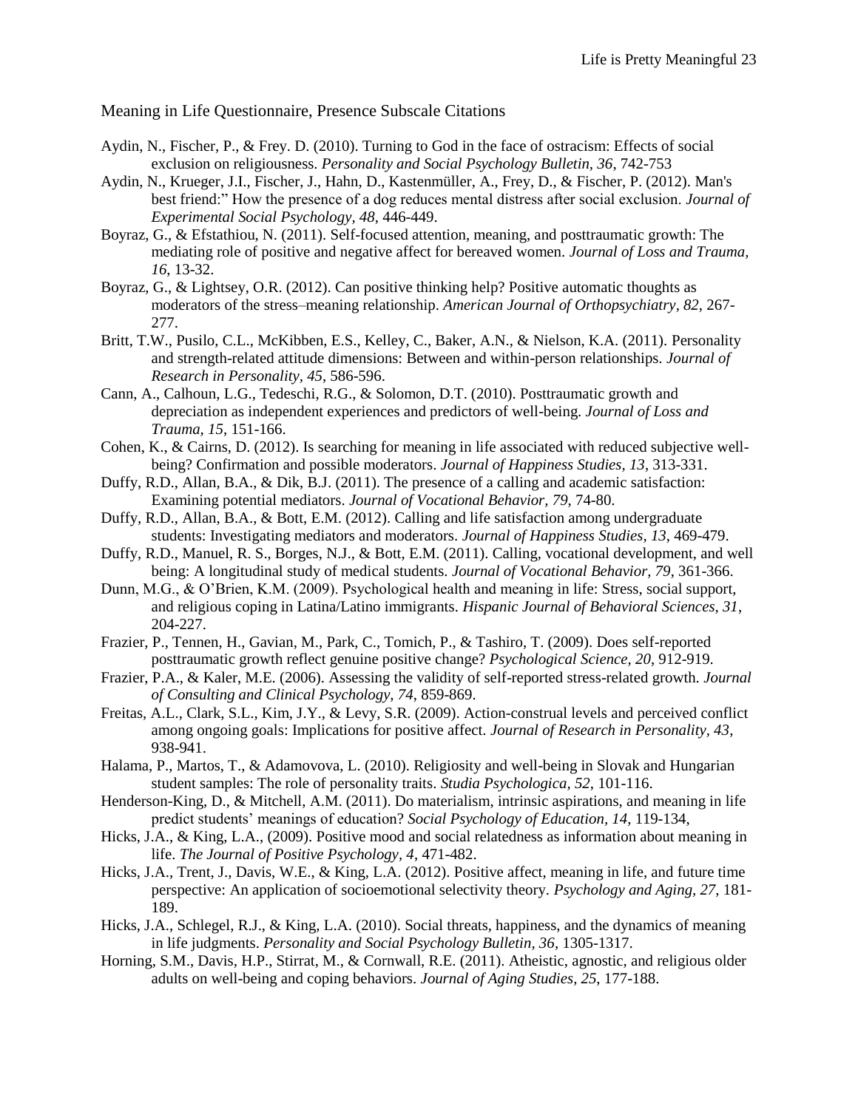Meaning in Life Questionnaire, Presence Subscale Citations

- Aydin, N., Fischer, P., & Frey. D. (2010). Turning to God in the face of ostracism: Effects of social exclusion on religiousness. *Personality and Social Psychology Bulletin, 36*, 742-753
- Aydin, N., Krueger, J.I., Fischer, J., Hahn, D., Kastenmüller, A., Frey, D., & Fischer, P. (2012). Man's best friend:" How the presence of a dog reduces mental distress after social exclusion. *Journal of Experimental Social Psychology, 48*, 446-449.
- Boyraz, G., & Efstathiou, N. (2011). Self-focused attention, meaning, and posttraumatic growth: The mediating role of positive and negative affect for bereaved women. *Journal of Loss and Trauma, 16*, 13-32.
- Boyraz, G., & Lightsey, O.R. (2012). Can positive thinking help? Positive automatic thoughts as moderators of the stress–meaning relationship. *American Journal of Orthopsychiatry, 82*, 267- 277.
- Britt, T.W., Pusilo, C.L., McKibben, E.S., Kelley, C., Baker, A.N., & Nielson, K.A. (2011). Personality and strength-related attitude dimensions: Between and within-person relationships. *Journal of Research in Personality, 45*, 586-596.
- Cann, A., Calhoun, L.G., Tedeschi, R.G., & Solomon, D.T. (2010). Posttraumatic growth and depreciation as independent experiences and predictors of well-being. *Journal of Loss and Trauma, 15*, 151-166.
- Cohen, K., & Cairns, D. (2012). Is searching for meaning in life associated with reduced subjective wellbeing? Confirmation and possible moderators. *Journal of Happiness Studies, 13*, 313-331.
- Duffy, R.D., Allan, B.A., & Dik, B.J. (2011). The presence of a calling and academic satisfaction: Examining potential mediators. *Journal of Vocational Behavior, 79*, 74-80.
- Duffy, R.D., Allan, B.A., & Bott, E.M. (2012). Calling and life satisfaction among undergraduate students: Investigating mediators and moderators. *Journal of Happiness Studies, 13*, 469-479.
- Duffy, R.D., Manuel, R. S., Borges, N.J., & Bott, E.M. (2011). Calling, vocational development, and well being: A longitudinal study of medical students. *Journal of Vocational Behavior, 79*, 361-366.
- Dunn, M.G., & O'Brien, K.M. (2009). Psychological health and meaning in life: Stress, social support, and religious coping in Latina/Latino immigrants. *Hispanic Journal of Behavioral Sciences, 31*, 204-227.
- Frazier, P., Tennen, H., Gavian, M., Park, C., Tomich, P., & Tashiro, T. (2009). Does self-reported posttraumatic growth reflect genuine positive change? *Psychological Science, 20*, 912-919.
- Frazier, P.A., & Kaler, M.E. (2006). Assessing the validity of self-reported stress-related growth. *Journal of Consulting and Clinical Psychology, 74*, 859-869.
- Freitas, A.L., Clark, S.L., Kim, J.Y., & Levy, S.R. (2009). Action-construal levels and perceived conflict among ongoing goals: Implications for positive affect. *Journal of Research in Personality, 43*, 938-941.
- Halama, P., Martos, T., & Adamovova, L. (2010). Religiosity and well-being in Slovak and Hungarian student samples: The role of personality traits. *Studia Psychologica, 52*, 101-116.
- Henderson-King, D., & Mitchell, A.M. (2011). Do materialism, intrinsic aspirations, and meaning in life predict students' meanings of education? *Social Psychology of Education, 14*, 119-134,
- Hicks, J.A., & King, L.A., (2009). Positive mood and social relatedness as information about meaning in life. *The Journal of Positive Psychology, 4*, 471-482.
- Hicks, J.A., Trent, J., Davis, W.E., & King, L.A. (2012). Positive affect, meaning in life, and future time perspective: An application of socioemotional selectivity theory. *Psychology and Aging, 27*, 181- 189.
- Hicks, J.A., Schlegel, R.J., & King, L.A. (2010). Social threats, happiness, and the dynamics of meaning in life judgments. *Personality and Social Psychology Bulletin, 36*, 1305-1317.
- Horning, S.M., Davis, H.P., Stirrat, M., & Cornwall, R.E. (2011). Atheistic, agnostic, and religious older adults on well-being and coping behaviors. *Journal of Aging Studies, 25*, 177-188.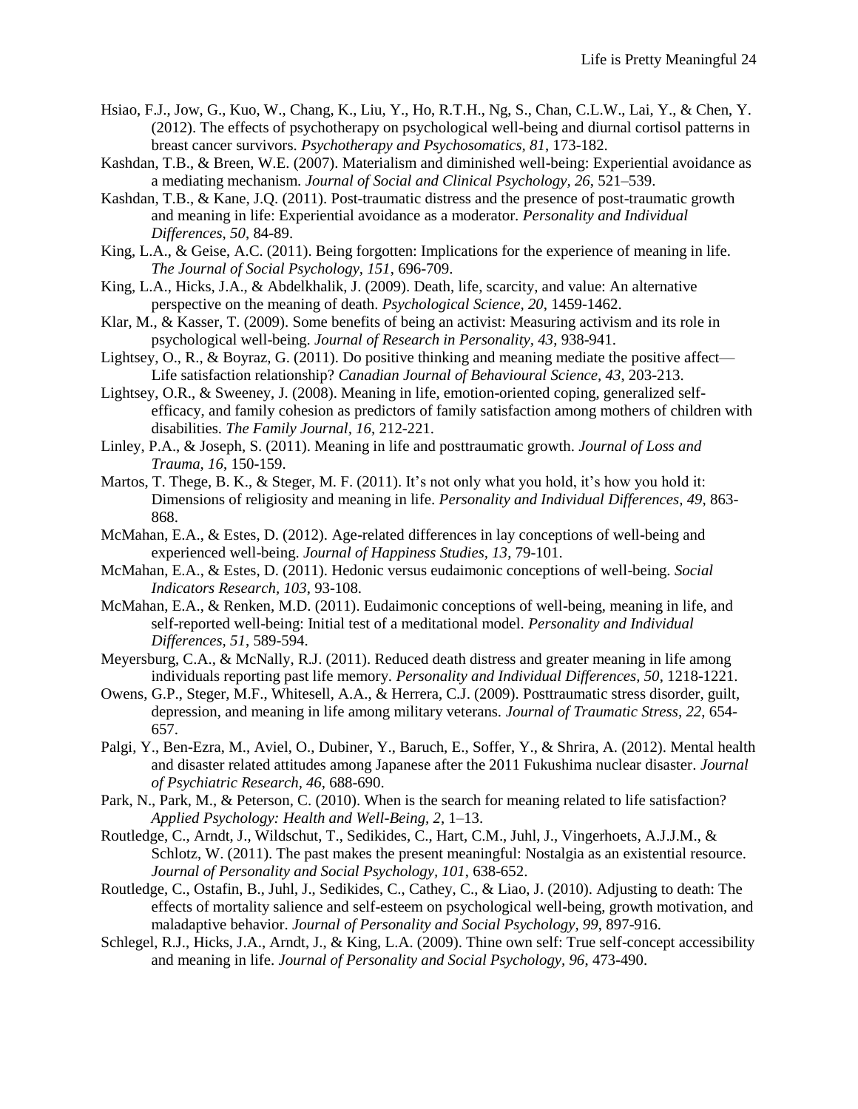- Hsiao, F.J., Jow, G., Kuo, W., Chang, K., Liu, Y., Ho, R.T.H., Ng, S., Chan, C.L.W., Lai, Y., & Chen, Y. (2012). The effects of psychotherapy on psychological well-being and diurnal cortisol patterns in breast cancer survivors. *Psychotherapy and Psychosomatics, 81*, 173-182.
- Kashdan, T.B., & Breen, W.E. (2007). Materialism and diminished well-being: Experiential avoidance as a mediating mechanism. *Journal of Social and Clinical Psychology, 26*, 521–539.
- Kashdan, T.B., & Kane, J.Q. (2011). Post-traumatic distress and the presence of post-traumatic growth and meaning in life: Experiential avoidance as a moderator. *Personality and Individual Differences, 50*, 84-89.
- King, L.A., & Geise, A.C. (2011). Being forgotten: Implications for the experience of meaning in life. *The Journal of Social Psychology, 151*, 696-709.
- King, L.A., Hicks, J.A., & Abdelkhalik, J. (2009). Death, life, scarcity, and value: An alternative perspective on the meaning of death. *Psychological Science, 20*, 1459-1462.
- Klar, M., & Kasser, T. (2009). Some benefits of being an activist: Measuring activism and its role in psychological well-being. *Journal of Research in Personality, 43*, 938-941.
- Lightsey, O., R., & Boyraz, G. (2011). Do positive thinking and meaning mediate the positive affect— Life satisfaction relationship? *Canadian Journal of Behavioural Science, 43*, 203-213.
- Lightsey, O.R., & Sweeney, J. (2008). Meaning in life, emotion-oriented coping, generalized selfefficacy, and family cohesion as predictors of family satisfaction among mothers of children with disabilities. *The Family Journal, 16*, 212-221.
- Linley, P.A., & Joseph, S. (2011). Meaning in life and posttraumatic growth. *Journal of Loss and Trauma, 16*, 150-159.
- Martos, T. Thege, B. K., & Steger, M. F. (2011). It's not only what you hold, it's how you hold it: Dimensions of religiosity and meaning in life. *Personality and Individual Differences, 49*, 863- 868.
- McMahan, E.A., & Estes, D. (2012). Age-related differences in lay conceptions of well-being and experienced well-being. *Journal of Happiness Studies, 13*, 79-101.
- McMahan, E.A., & Estes, D. (2011). Hedonic versus eudaimonic conceptions of well-being. *Social Indicators Research, 103*, 93-108.
- McMahan, E.A., & Renken, M.D. (2011). Eudaimonic conceptions of well-being, meaning in life, and self-reported well-being: Initial test of a meditational model. *Personality and Individual Differences, 51*, 589-594.
- Meyersburg, C.A., & McNally, R.J. (2011). Reduced death distress and greater meaning in life among individuals reporting past life memory. *Personality and Individual Differences, 50*, 1218-1221.
- Owens, G.P., Steger, M.F., Whitesell, A.A., & Herrera, C.J. (2009). Posttraumatic stress disorder, guilt, depression, and meaning in life among military veterans. *Journal of Traumatic Stress, 22*, 654- 657.
- Palgi, Y., Ben-Ezra, M., Aviel, O., Dubiner, Y., Baruch, E., Soffer, Y., & Shrira, A. (2012). Mental health and disaster related attitudes among Japanese after the 2011 Fukushima nuclear disaster. *Journal of Psychiatric Research, 46*, 688-690.
- Park, N., Park, M., & Peterson, C. (2010). When is the search for meaning related to life satisfaction? *Applied Psychology: Health and Well-Being, 2*, 1–13.
- Routledge, C., Arndt, J., Wildschut, T., Sedikides, C., Hart, C.M., Juhl, J., Vingerhoets, A.J.J.M., & Schlotz, W. (2011). The past makes the present meaningful: Nostalgia as an existential resource. *Journal of Personality and Social Psychology, 101*, 638-652.
- Routledge, C., Ostafin, B., Juhl, J., Sedikides, C., Cathey, C., & Liao, J. (2010). Adjusting to death: The effects of mortality salience and self-esteem on psychological well-being, growth motivation, and maladaptive behavior. *Journal of Personality and Social Psychology, 99*, 897-916.
- Schlegel, R.J., Hicks, J.A., Arndt, J., & King, L.A. (2009). Thine own self: True self-concept accessibility and meaning in life. *Journal of Personality and Social Psychology, 96*, 473-490.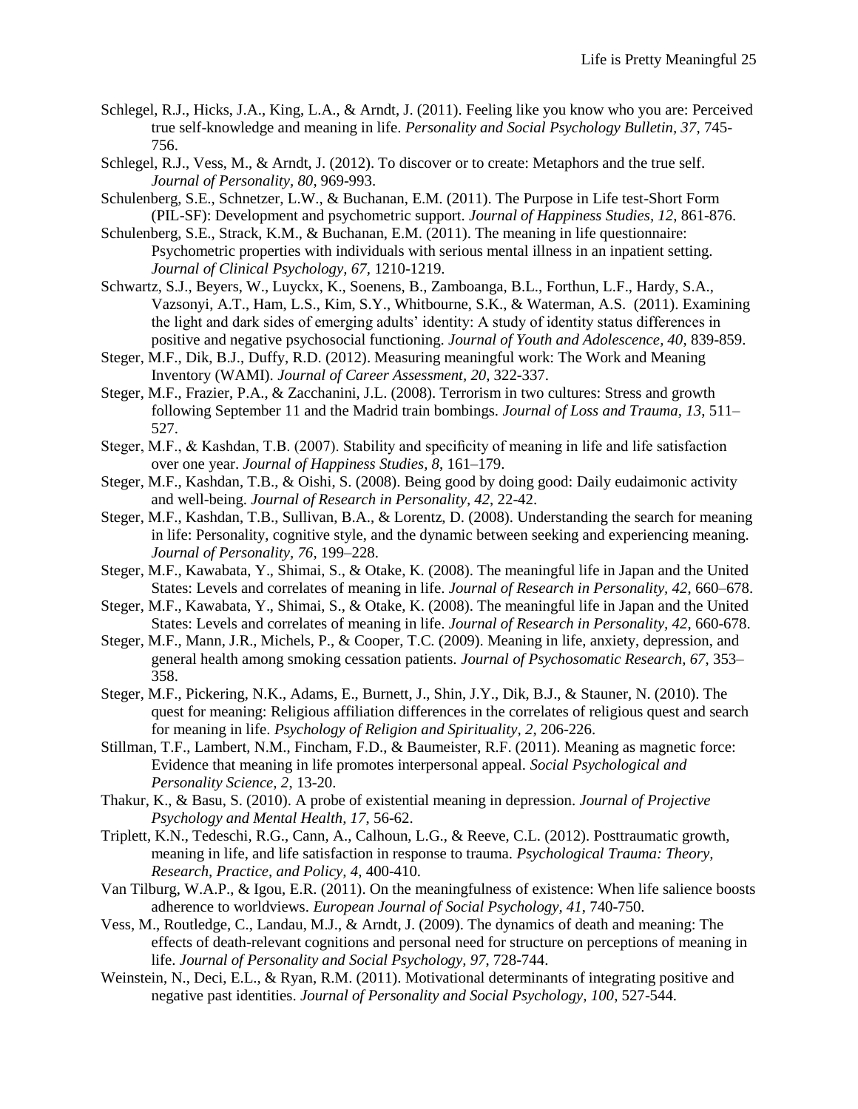- Schlegel, R.J., Hicks, J.A., King, L.A., & Arndt, J. (2011). Feeling like you know who you are: Perceived true self-knowledge and meaning in life. *Personality and Social Psychology Bulletin, 37*, 745- 756.
- Schlegel, R.J., Vess, M., & Arndt, J. (2012). To discover or to create: Metaphors and the true self. *Journal of Personality, 80*, 969-993.
- Schulenberg, S.E., Schnetzer, L.W., & Buchanan, E.M. (2011). The Purpose in Life test-Short Form (PIL-SF): Development and psychometric support. *Journal of Happiness Studies, 12*, 861-876.
- Schulenberg, S.E., Strack, K.M., & Buchanan, E.M. (2011). The meaning in life questionnaire: Psychometric properties with individuals with serious mental illness in an inpatient setting. *Journal of Clinical Psychology, 67,* 1210-1219.
- Schwartz, S.J., Beyers, W., Luyckx, K., Soenens, B., Zamboanga, B.L., Forthun, L.F., Hardy, S.A., Vazsonyi, A.T., Ham, L.S., Kim, S.Y., Whitbourne, S.K., & Waterman, A.S. (2011). Examining the light and dark sides of emerging adults' identity: A study of identity status differences in positive and negative psychosocial functioning. *Journal of Youth and Adolescence, 40*, 839-859.
- Steger, M.F., Dik, B.J., Duffy, R.D. (2012). Measuring meaningful work: The Work and Meaning Inventory (WAMI). *Journal of Career Assessment, 20*, 322-337.
- Steger, M.F., Frazier, P.A., & Zacchanini, J.L. (2008). Terrorism in two cultures: Stress and growth following September 11 and the Madrid train bombings. *Journal of Loss and Trauma, 13*, 511– 527.
- Steger, M.F., & Kashdan, T.B. (2007). Stability and specificity of meaning in life and life satisfaction over one year. *Journal of Happiness Studies, 8*, 161–179.
- Steger, M.F., Kashdan, T.B., & Oishi, S. (2008). Being good by doing good: Daily eudaimonic activity and well-being. *Journal of Research in Personality, 42*, 22-42.
- Steger, M.F., Kashdan, T.B., Sullivan, B.A., & Lorentz, D. (2008). Understanding the search for meaning in life: Personality, cognitive style, and the dynamic between seeking and experiencing meaning. *Journal of Personality, 76*, 199–228.
- Steger, M.F., Kawabata, Y., Shimai, S., & Otake, K. (2008). The meaningful life in Japan and the United States: Levels and correlates of meaning in life. *Journal of Research in Personality, 42*, 660–678.
- Steger, M.F., Kawabata, Y., Shimai, S., & Otake, K. (2008). The meaningful life in Japan and the United States: Levels and correlates of meaning in life. *Journal of Research in Personality, 42*, 660-678.
- Steger, M.F., Mann, J.R., Michels, P., & Cooper, T.C. (2009). Meaning in life, anxiety, depression, and general health among smoking cessation patients. *Journal of Psychosomatic Research, 67*, 353– 358.
- Steger, M.F., Pickering, N.K., Adams, E., Burnett, J., Shin, J.Y., Dik, B.J., & Stauner, N. (2010). The quest for meaning: Religious affiliation differences in the correlates of religious quest and search for meaning in life. *Psychology of Religion and Spirituality, 2*, 206-226.
- Stillman, T.F., Lambert, N.M., Fincham, F.D., & Baumeister, R.F. (2011). Meaning as magnetic force: Evidence that meaning in life promotes interpersonal appeal. *Social Psychological and Personality Science, 2*, 13-20.
- Thakur, K., & Basu, S. (2010). A probe of existential meaning in depression. *Journal of Projective Psychology and Mental Health, 17*, 56-62.
- Triplett, K.N., Tedeschi, R.G., Cann, A., Calhoun, L.G., & Reeve, C.L. (2012). Posttraumatic growth, meaning in life, and life satisfaction in response to trauma. *Psychological Trauma: Theory, Research, Practice, and Policy, 4*, 400-410.
- Van Tilburg, W.A.P., & Igou, E.R. (2011). On the meaningfulness of existence: When life salience boosts adherence to worldviews. *European Journal of Social Psychology, 41*, 740-750.
- Vess, M., Routledge, C., Landau, M.J., & Arndt, J. (2009). The dynamics of death and meaning: The effects of death-relevant cognitions and personal need for structure on perceptions of meaning in life. *Journal of Personality and Social Psychology, 97*, 728-744.
- Weinstein, N., Deci, E.L., & Ryan, R.M. (2011). Motivational determinants of integrating positive and negative past identities. *Journal of Personality and Social Psychology, 100*, 527-544.